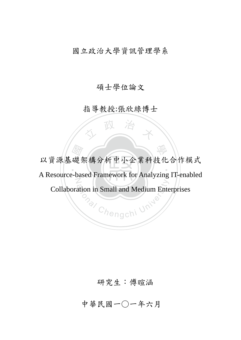### 國立政治大學資訊管理學系

### 碩士學位論文

### 指導教授:張欣綠博士

人 政 治 木

A Resource-based Framework for Analyzing IT-enabled 礎架構分析中小企業科技化<br>hased Framework for Analyzing ‧ N o<sub>nal</sub> Chengchi University 以資源基礎架構分析中小企業科技化合作模式 Collaboration in Small and Medium Enterprises

### 研究生:傅暄涵

## 中華民國一○一年六月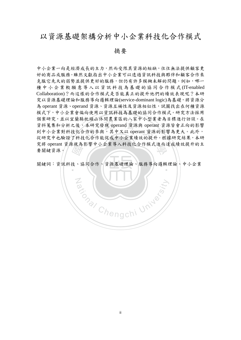### 以資源基礎架構分析中小企業科技化合作模式

摘要

机項山体間長素區的ペジャケヱォ<br>本研究發現 operand 資源與 opera<br>·作的參與,其中又以 operant 資源<br>:化合作能促成中小企業績效的提? 究將 operant 資源視為影響中小企業導入科技化合作模式進而達成績效提升的主要關鍵資源。 中小企業一向是經濟成長的主力,然而受限其資源的短缺,往往無法提供顧客更 好的商品或服務。雖然文獻指出中小企業可以透過資訊科技與夥伴和顧客合作來 克服它先天的弱勢並提供更好的服務,但仍有許多模糊未解的問題。例如,哪一 種中小企業較願意導入以資訊科技為 基礎的協同合作模式 (IT-enabled Collaboration)?而這樣的合作模式是否能真正的提升他們的績效表現呢?本研 究以資源基礎理論和服務導向邏輯理論(service-dominant logic)為基礎,將資源分 為 operant 資源、operand 資源、資源互補性及資源相似性, 試圖找出在何種資源 模式下,中小企業會偏向使用以資訊科技為基礎的協同合作模式。研究方法採用 個案研究,並以宜蘭縣枕頭山休閒農業區的八家中小型業者為目標進行訪談。在 資料蒐集和分析之後,本研究發現 operand 資源與 operant 資源皆會正向的影響 到中小企業對科技化合作的參與,其中又以 operant 資源的影響為更大。此外, 從研究中也驗證了科技化合作能促成中小企業績效的提升。根據研究結果,本研 要關鍵資源。

關鍵詞:資訊科技、協同合作、資源基礎理論、服務導向邏輯理論、中小企業

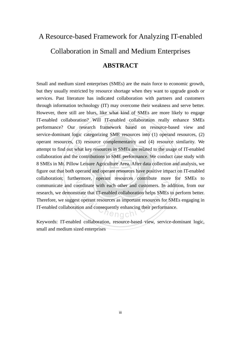# A Resource-based Framework for Analyzing IT-enabled Collaboration in Small and Medium Enterprises **ABSTRACT**

‧‧ figure out that both operand and operant resources have positive impact on IT-enabled attempt to find out what key resources in SMEs are related to the usage of IT-enabled collaboration and the contributions to SME performance. We conduct case study with 8 SMEs in Mt. Pillow Leisure Agriculture Area. After n? Will II-enabled collaboration<br>search framework based on res<br>categorizing SME resources into (1 collaboration; furthermore, operant resources contribute more for SMEs to bordinate with each other and customers. In a<br>strate that IT-enabled collaboration helps SMEs<br>st operant resources as important resources for S<br>tion and consequently enhancing their performa Small and medium sized enterprises (SMEs) are the main force to economic growth, but they usually restricted by resource shortage when they want to upgrade goods or services. Past literature has indicated collaboration with partners and customers through information technology (IT) may overcome their weakness and serve better. However, there still are blurs, like what kind of SMEs are more likely to engage IT-enabled collaboration? Will IT-enabled collaboration really enhance SMEs performance? Our research framework based on resource-based view and service-dominant logic categorizing SME resources into (1) operand resources, (2) operant resources, (3) resource complementarity and (4) resource similarity. We collaboration and the contributions to SME performance. We conduct case study with 8 SMEs in Mt. Pillow Leisure Agriculture Area. After data collection and analysis, we communicate and coordinate with each other and customers. In addition, from our research, we demonstrate that IT-enabled collaboration helps SMEs to perform better. Therefore, we suggest operant resources as important resources for SMEs engaging in IT-enabled collaboration and consequently enhancing their performance.

Keywords: IT-enabled collaboration, resource-based view, service-dominant logic, small and medium sized enterprises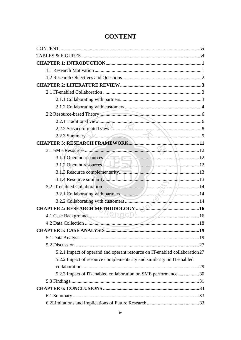| 2.2.2 Service-oriented view                                                 |  |
|-----------------------------------------------------------------------------|--|
| 2.2.3 Summary >>>                                                           |  |
|                                                                             |  |
|                                                                             |  |
| 3.1.1 Operand resources.                                                    |  |
|                                                                             |  |
|                                                                             |  |
| 3.1.4 Resource similarity                                                   |  |
|                                                                             |  |
|                                                                             |  |
|                                                                             |  |
|                                                                             |  |
|                                                                             |  |
|                                                                             |  |
|                                                                             |  |
|                                                                             |  |
|                                                                             |  |
| 5.2.1 Impact of operand and operant resource on IT-enabled collaboration 27 |  |
| 5.2.2 Impact of resource complementarity and similarity on IT-enabled       |  |
|                                                                             |  |
| 5.2.3 Impact of IT-enabled collaboration on SME performance 30              |  |
|                                                                             |  |
|                                                                             |  |
|                                                                             |  |
|                                                                             |  |

### **CONTENT**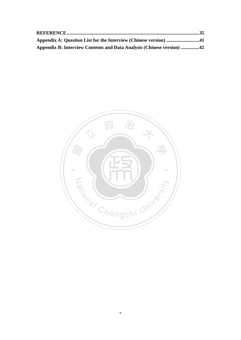| Appendix A: Question List for the Interview (Chinese version) 41      |  |
|-----------------------------------------------------------------------|--|
| Appendix B: Interview Contents and Data Analysis (Chinese version) 42 |  |

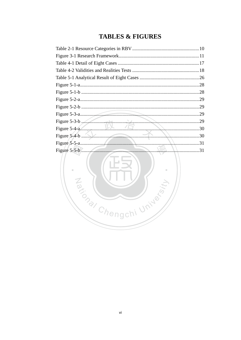### **TABLES & FIGURES**

|                       | .28 |
|-----------------------|-----|
|                       | .28 |
|                       | .29 |
|                       | .29 |
|                       | .29 |
| Figure 5-3-b $\ldots$ | .29 |
|                       |     |
|                       | .30 |
|                       | 31  |
|                       | .31 |
| <u>tan a m</u>        |     |

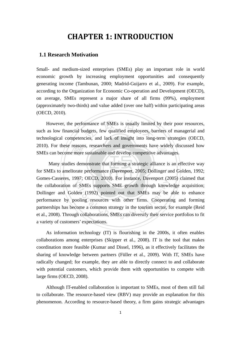### **CHAPTER 1: INTRODUCTION**

#### **1.1 Research Motivation**

Small- and medium-sized enterprises (SMEs) play an important role in world economic growth by increasing employment opportunities and consequently generating income (Tambunan, 2000; Madrid-Guijarro et al., 2009). For example, according to the Organization for Economic Co-operation and Development (OECD), on average, SMEs represent a major share of all firms (99%), employment (approximately two-thirds) and value added (over one half) within participating areas (OECD, 2010).

However, the performance of SMEs is usually limited by their poor resources, such as low financial budgets, few qualified employees, barriers of managerial and technological competencies, and lack of insight into long-term However, the performance of SMEs is usually limited by their poor resources, such as low financial budgets, few qualified employees, barriers of managerial and 2010). For these reasons, researchers and governments have widely discussed how

for SMEs to ameliorate performance (Davenport, 2005; Dollinger and Golden, 1992; 2010). For these reasons, researchers and governments have widely dis SMEs can become more sustainable and develop competitive advantages.<br>Many studies demonstrate that forming a strategic alliance is an e<br>for SMEs to amel Gomes-Casseres, 1997; OECD, 2010). For instance, Davenport (2005) claimed that The SMEs supports SME growth through knowlst SMEs supports SME growth through knowlst SMEs may be colling resources with other firms. Cooperation come a common strategy in the tourism sector, the collaborations, SMEs can Many studies demonstrate that forming a strategic alliance is an effective way the collaboration of SMEs supports SME growth through knowledge acquisition; Dollinger and Golden (1992) pointed out that SMEs may be able to enhance performance by pooling resources with other firms. Cooperating and forming partnerships has become a common strategy in the tourism sector, for example (Reid et al., 2008). Through collaborations, SMEs can diversify their service portfolios to fit a variety of customers' expectations.

As information technology (IT) is flourishing in the 2000s, it often enables collaborations among enterprises (Skipper et al., 2008). IT is the tool that makes coordination more feasible (Kumar and Dissel, 1996), as it effectively facilitates the sharing of knowledge between partners (Füller et al., 2009). With IT, SMEs have radically changed; for example, they are able to directly connect to and collaborate with potential customers, which provide them with opportunities to compete with large firms (OECD, 2008).

Although IT-enabled collaboration is important to SMEs, most of them still fail to collaborate. The resource-based view (RBV) may provide an explanation for this phenomenon. According to resource-based theory, a firm gains strategic advantages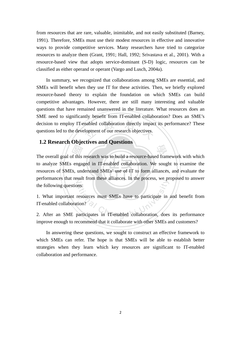from resources that are rare, valuable, inimitable, and not easily substituted (Barney, 1991). Therefore, SMEs must use their modest resources in effective and innovative ways to provide competitive services. Many researchers have tried to categorize resources to analyze them (Grant, 1991; Hall, 1992; Srivastava et al., 2001). With a resource-based view that adopts service-dominant (S-D) logic, resources can be classified as either operand or operant (Vargo and Lusch, 2004a).

nabled collaboration directly impaction<br>of our research objectives. In summary, we recognized that collaborations among SMEs are essential, and SMEs will benefit when they use IT for these activities. Then, we briefly explored resource-based theory to explain the foundation on which SMEs can build competitive advantages. However, there are still many interesting and valuable questions that have remained unanswered in the literature. What resources does an SME need to significantly benefit from IT-enabled collaboration? Does an SME's decision to employ IT-enabled collaboration directly impact its performance? These questions led to the development of our research objectives.

#### **1.2 Research Objectives and Questions**

resources of SMEs, understand SMEs' use of IT to form alliances, and evaluate the The overall goal of this research was to build a resource-based framework with which<br>to analyze SMEs engaged in IT-enabled collaboration. We sought to examine the<br>resources of SMEs, understand SMEs' use of IT to form allia performances that result from these alliances. In the process, we proposed to answer to analyze SMEs engaged in IT-enabled collaboration. We sought to examine the the following questions:

the following questions:<br>
1. What important resources must SMEs have to participate in and benefit from<br>
IT-enabled collaboration?<br>
2. After an SME participates in IT-enabled collaboration, does its performance 1. What important resources must SMEs have to participate in and benefit from IT-enabled collaboration?

improve enough to recommend that it collaborate with other SMEs and customers?

In answering these questions, we sought to construct an effective framework to which SMEs can refer. The hope is that SMEs will be able to establish better strategies when they learn which key resources are significant to IT-enabled collaboration and performance.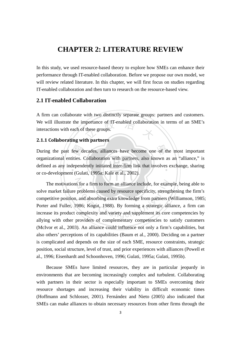### **CHAPTER 2: LITERATURE REVIEW**

In this study, we used resource-based theory to explore how SMEs can enhance their performance through IT-enabled collaboration. Before we propose our own model, we will review related literature. In this chapter, we will first focus on studies regarding IT-enabled collaboration and then turn to research on the resource-based view.

#### **2.1 IT-enabled Collaboration**

We will illustrate the importance of IT-enabled collaboration in terms of an SME's<br>interactions with each of these groups. A firm can collaborate with two distinctly separate groups: partners and customers. interactions with each of these groups.

#### **2.1.1 Collaborating with partners**

or co-development (Gulati, 1995a; Kale et al., 2002). few d<br>ities.<br>lepend<br>t (Gul During the past few decades, alliances have become one of the most important defined as any independently initiated inter-firm link that involves exchange, sharing organizational entities. Collaboration with partners, also known as an "alliance," is

The motivations for a firm to form an alliance include, for example, being able to at for a firm to form an alliance include, for exam problems caused by resource specificity, streng<br>problems caused by resource specificity, streng<br>a, and absorbing extra knowledge from partners (<br>986; Kogut, 1988). By for solve market failure problems caused by resource specificity, strengthening the firm's competitive position, and absorbing extra knowledge from partners (Williamson, 1985; Porter and Fuller, 1986; Kogut, 1988). By forming a strategic alliance, a firm can increase its product complexity and variety and supplement its core competencies by allying with other providers of complementary competencies to satisfy customers (McIvor et al., 2003). An alliance could influence not only a firm's capabilities, but also others' perceptions of its capabilities (Baum et al., 2000). Deciding on a partner is complicated and depends on the size of each SME, resource constraints, strategic position, social structure, level of trust, and prior experiences with alliances (Powell et al., 1996; Eisenhardt and Schoonhoven, 1996; Gulati, 1995a; Gulati, 1995b).

Because SMEs have limited resources, they are in particular jeopardy in environments that are becoming increasingly complex and turbulent. Collaborating with partners in their sector is especially important to SMEs overcoming their resource shortages and increasing their viability in difficult economic times (Hoffmann and Schlosser, 2001). Fernández and Nieto (2005) also indicated that SMEs can make alliances to obtain necessary resources from other firms through the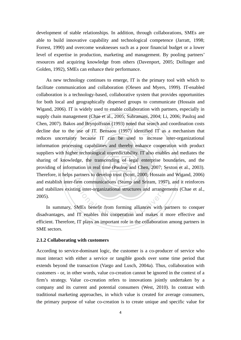development of stable relationships. In addition, through collaborations, SMEs are able to build innovative capability and technological competence (Jarratt, 1998; Forrest, 1990) and overcome weaknesses such as a poor financial budget or a lower level of expertise in production, marketing and management. By pooling partners' resources and acquiring knowledge from others (Davenport, 2005; Dollinger and Golden, 1992), SMEs can enhance their performance.

essing<br>her te<br>ledge,<br>matio Brynjolfsson (1993) noted that sear<br>of IT. Bensaou (1997) identified<br>ecause IT can be used to incre information processing capabilities and thereby enhance cooperation with product<br>suppliers with higher technological unpredictability. IT also enables and mediates the providing of information in real time (Paulraj and Chen, 2007; Sexton et al., 2003). and establish inter-firm communications (Stump and Sriram, 1997), and it reinforces rm communications (Stump and Sriram, 1997)<br>ag inter-organizational structures and arrangem<br>MEs benefit from forming alliances with part<br>IT enables this cooperation and makes it m As new technology continues to emerge, IT is the primary tool with which to facilitate communication and collaboration (Olesen and Myers, 1999). IT-enabled collaboration is a technology-based, collaborative system that provides opportunities for both local and geographically dispersed groups to communicate (Hossain and Wigand, 2006). IT is widely used to enable collaboration with partners, especially in supply chain management (Chae et al., 2005; Subramani, 2004; Li, 2006; Paulraj and Chen, 2007). Bakos and Brynjolfsson (1993) noted that search and coordination costs decline due to the use of IT. Bensaou (1997) identified IT as a mechanism that reduces uncertainty because IT can be used to increase inter-organizational information processing capabilities and thereby enhance cooperation with product sharing of knowledge, the transcending of legal enterprise boundaries, and the Therefore, it helps partners to develop trust (Scott, 2000; Hossain and Wigand, 2006) and stabilizes existing inter-organizational structures and arrangements (Chae et al., 2005).

In summary, SMEs benefit from forming alliances with partners to conquer disadvantages, and IT enables this cooperation and makes it more effective and efficient. Therefore, IT plays an important role in the collaboration among partners in SME sectors.

#### **2.1.2 Collaborating with customers**

According to service-dominant logic, the customer is a co-producer of service who must interact with either a service or tangible goods over some time period that extends beyond the transaction (Vargo and Lusch, 2004a). Thus, collaboration with customers - or, in other words, value co-creation cannot be ignored in the context of a firm's strategy. Value co-creation refers to innovations jointly undertaken by a company and its current and potential consumers (West, 2010). In contrast with traditional marketing approaches, in which value is created for average consumers, the primary purpose of value co-creation is to create unique and specific value for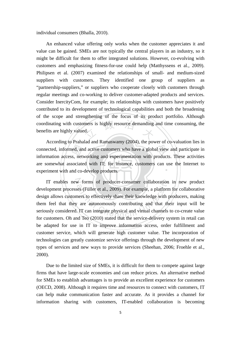individual consumers (Bhalla, 2010).

coordinating with customers is highly resource demanding and time consuming, the benefits are highly valued. An enhanced value offering only works when the customer appreciates it and value can be gained. SMEs are not typically the central players in an industry, so it might be difficult for them to offer integrated solutions. However, co-evolving with customers and emphasizing fitness-for-use could help (Matthyssens et al., 2009). Philipsen et al. (2007) examined the relationships of small- and medium-sized suppliers with customers. They identified one group of suppliers as "partnership-suppliers," or suppliers who cooperate closely with customers through regular meetings and co-working to deliver customer-adapted products and services. Consider InercityCom, for example; its relationships with customers have positively contributed to its development of technological capabilities and both the broadening of the scope and strengthening of the focus of its product portfolio. Although benefits are highly valued.

experiment with and co-develop products. ed, an<br>s, net<br>sociate<br>nd coconnected, informed, and active customers who have a global view and participate in ‧ According to Prahalad and Ramaswamy (2004), the power of co-valuation lies in information access, networking and experimentation with products. These activities are somewhat associated with IT; for instance, customers can use the Internet to

IT enables new forms of producer-consumer collaboration in new product w forms of producer-consumer collaboration<br>ses (Füller et al., 2009). For example, a platform<br>ners to effectively share their knowledge with p<br>are autonomously contributing and that the<br>. IT can integrate physical and virt development processes (Füller et al., 2009). For example, a platform for collaborative design allows customers to effectively share their knowledge with producers, making them feel that they are autonomously contributing and that their input will be seriously considered. IT can integrate physical and virtual channels to co-create value for customers. Oh and Teo (2010) stated that the service-delivery system in retail can be adapted for use in IT to improve information access, order fulfillment and customer service, which will generate high customer value. The incorporation of technologies can greatly customize service offerings through the development of new types of services and new ways to provide services (Sheehan, 2006; Froehle et al., 2000).

Due to the limited size of SMEs, it is difficult for them to compete against large firms that have large-scale economies and can reduce prices. An alternative method for SMEs to establish advantages is to provide an excellent experience for customers (OECD, 2008). Although it requires time and resources to connect with customers, IT can help make communication faster and accurate. As it provides a channel for information sharing with customers, IT-enabled collaboration is becoming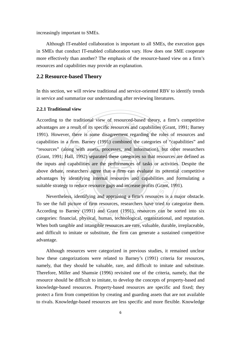increasingly important to SMEs.

Although IT-enabled collaboration is important to all SMEs, the execution gaps in SMEs that conduct IT-enabled collaboration vary. How does one SME cooperate more effectively than another? The emphasis of the resource-based view on a firm's resources and capabilities may provide an explanation.

#### **2.2 Resource-based Theory**

In this section, we will review traditional and service-oriented RBV to identify trends in service and summarize our understanding after reviewing literatures.

#### **2.2.1 Traditional view**

above debate, researchers agree that a firm can evaluate its potential competitive "resources" (along with assets, processes, and information), but other researchers<br>(Grant, 1991; Hall, 1992) separated these categories so that resources are defined as<br>the inputs and capabilities are the performances of t ional view of resourced-based theory<br>of its specific resources and capabili<br>is some disagreement regarding th advantages by identifying internal resources and capabilities and formulating a According to the traditional view of resourced-based theory, a firm's competitive advantages are a result of its specific resources and capabilities (Grant, 1991; Barney 1991). However, there is some disagreement regarding the roles of resources and capabilities in a firm. Barney (1991) combined the categories of "capabilities" and (Grant, 1991; Hall, 1992) separated these categories so that resources are defined as the inputs and capabilities are the performances of tasks or activities. Despite the suitable strategy to reduce resource gaps and increase profits (Grant, 1991).

educe resource gaps and increase profits (Grant,<br>dentifying and appraising a firm's resources is<br>ure of firm resources, researchers have tried to<br>by (1991) and Grant (1991), resources can b<br>physical human technological org Nevertheless, identifying and appraising a firm's resources is a major obstacle. To see the full picture of firm resources, researchers have tried to categorize them. According to Barney (1991) and Grant (1991), resources can be sorted into six categories: financial, physical, human, technological, organizational, and reputation. When both tangible and intangible resources are rare, valuable, durable, irreplaceable, and difficult to imitate or substitute, the firm can generate a sustained competitive advantage.

Although resources were categorized in previous studies, it remained unclear how these categorizations were related to Barney's (1991) criteria for resources, namely, that they should be valuable, rare, and difficult to imitate and substitute. Therefore, Miller and Shamsie (1996) revisited one of the criteria, namely, that the resource should be difficult to imitate, to develop the concepts of property-based and knowledge-based resources. Property-based resources are specific and fixed; they protect a firm from competition by creating and guarding assets that are not available to rivals. Knowledge-based resources are less specific and more flexible. Knowledge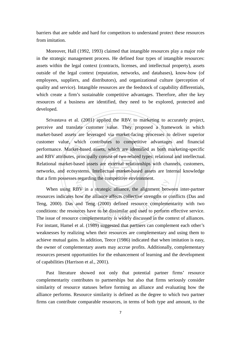barriers that are subtle and hard for competitors to understand protect these resources from imitation.

Moreover, Hall (1992, 1993) claimed that intangible resources play a major role in the strategic management process. He defined four types of intangible resources: assets within the legal context (contracts, licenses, and intellectual property), assets outside of the legal context (reputation, networks, and databases), know-how (of employees, suppliers, and distributors), and organizational culture (perception of quality and service). Intangible resources are the feedstock of capability differentials, which create a firm's sustainable competitive advantages. Therefore, after the key resources of a business are identified, they need to be explored, protected and developed.

networks, and ecosystems. Intellectual market-based assets are internal knowledge performance. Market-based assets, which are identified as both marketing-specific<br>and RBV attributes, principally consist of two related types: relational and intellectual.<br>Relational market-based assets are external relat 2001) applied the RBV to market<br>customer value. They proposed<br>expressed via market-facing proce that a firm possesses regarding the competitive environment. Srivastava et al. (2001) applied the RBV to marketing to accurately project, perceive and translate customer value. They proposed a framework in which market-based assets are leveraged via market-facing processes to deliver superior customer value, which contributes to competitive advantages and financial and RBV attributes, principally consist of two related types: relational and intellectual. Relational market-based assets are external relationships with channels, customers,

Example to the alignment.<br>BY in a strategic alliance, the alignment between the alliance affects collective strengths or cand Teng (2000) defined resource complements<br>are a complementarity is widely discussed in the comple When using RBV in a strategic alliance, the alignment between inter-partner resources indicates how the alliance affects collective strengths or conflicts (Das and Teng, 2000). Das and Teng (2000) defined resource complementarity with two conditions: the resources have to be dissimilar and used to perform effective service. The issue of resource complementarity is widely discussed in the context of alliances. For instant, Hamel et al. (1989) suggested that partners can complement each other's weaknesses by realizing when their resources are complementary and using them to achieve mutual gains. In addition, Teece (1986) indicated that when imitation is easy, the owner of complementary assets may accrue profits. Additionally, complementary resources present opportunities for the enhancement of learning and the development of capabilities (Harrison et al., 2001).

Past literature showed not only that potential partner firms' resource complementarity contributes to partnerships but also that firms seriously consider similarity of resource statuses before forming an alliance and evaluating how the alliance performs. Resource similarity is defined as the degree to which two partner firms can contribute comparable resources, in terms of both type and amount, to the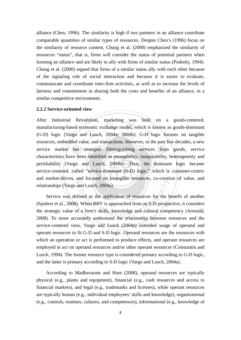alliance (Chen, 1996). The similarity is high if two partners in an alliance contribute comparable quantities of similar types of resources. Despite Chen's (1996) focus on the similarity of resource content, Chung et al. (2000) emphasized the similarity of resources "status", that is, firms will consider the status of potential partners when forming an alliance and are likely to ally with firms of similar status (Podonly, 1994). Chung et al. (2000) argued that firms of a similar status ally with each other because of the signaling role of social interaction and because it is easier to evaluate, communicate and coordinate inter-firm activities, as well as to increase the levels of fairness and commitment in sharing both the costs and benefits of an alliance, in a similar competitive environment.

#### **2.2.2 Service-oriented view**

Service-centered, called "service-dominant (S-D) logic," which is customer-centric has<br>ve bee<br>rgo a olution, marketing was built<br>bnomic exchange model, which is k<br>d Lusch, 2004a; 2004b). G-D lo service market has emerged. Distinguishing services from goods, service and market-driven, and focused on intangible resources, co-creation of value, and After Industrial Revolution, marketing was built on a goods-centered, manufacturing-based economic exchange model, which is known as goods-dominant (G-D) logic (Vargo and Lusch, 2004a; 2004b). G-D logic focuses on tangible resources, embedded value, and transactions. However, in the past few decades, a new characteristics have been identified as intangibility, inseparability, heterogeneity and perishability (Vargo and Lusch, 2004b). Thus, the dominant logic became relationships (Vargo and Lusch, 2004a).

and Lusch, 2004a).<br>
and Lusch, 2004a).<br>
fined as the application of resources for the b<br>
i. When RBV is approached from an S-D perspe<br>
of a firm's skills, knowledge and cultural computately understand the relationship betw Service was defined as the application of resources for the benefit of another (Spohrer et al., 2008). When RBV is approached from an S-D perspective, it considers the strategic value of a firm's skills, knowledge and cultural competency (Arnould, 2008). To more accurately understand the relationship between resources and the service-centered view, Vargo and Lusch (2004a) extended usage of operand and operant resources to fit G-D and S-D logic. Operand resources are the resources with which an operation or act is performed to produce effects, and operant resources are employed to act on operand resources and/or other operant resources (Constantin and Lusch, 1994). The former resource type is considered primary according to G-D logic, and the latter is primary according to S-D logic (Vargo and Lusch, 2004a).

According to Madhavaram and Hunt (2008), operand resources are typically physical (e.g., plants and equipment), financial (e.g., cash resources and access to financial markets), and legal (e.g., trademarks and licenses), while operant resources are typically human (e.g., individual employees' skills and knowledge), organizational (e.g., controls, routines, cultures, and competences), informational (e.g., knowledge of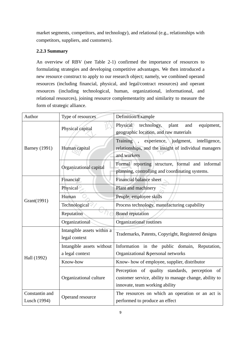market segments, competitors, and technology), and relational (e.g., relationships with competitors, suppliers, and customers).

#### **2.2.3 Summary**

An overview of RBV (see Table 2-1) confirmed the importance of resources to formulating strategies and developing competitive advantages. We then introduced a new resource construct to apply to our research object; namely, we combined operand resources (including financial, physical, and legal/contract resources) and operant resources (including technological, human, organizational, informational, and relational resources), joining resource complementarity and similarity to measure the form of strategic alliance.

| Author                         | Type of resources                            | Definition/Example                                                                                                                         |
|--------------------------------|----------------------------------------------|--------------------------------------------------------------------------------------------------------------------------------------------|
|                                | Physical capital                             | Physical technology,<br>plant<br>and<br>equipment,<br>geographic location, and raw materials                                               |
| <b>Barney</b> (1991)           | Human capital                                | Training, experience, judgment,<br>intelligence,<br>relationships, and the insight of individual managers<br>and workers                   |
|                                | Organizational capital                       | Formal reporting structure, formal and informal<br>planning, controlling and coordinating systems.                                         |
|                                | Financial                                    | Financial balance sheet                                                                                                                    |
|                                | Physical                                     | Plant and machinery                                                                                                                        |
| Grant(1991)                    | Human                                        | People, employee skills                                                                                                                    |
|                                | Technological                                | Process technology, manufacturing capability                                                                                               |
|                                | Reputation                                   | <b>Brand reputation</b>                                                                                                                    |
|                                | Organizational                               | Organizational routines                                                                                                                    |
|                                | Intangible assets within a<br>legal context  | Trademarks, Patents, Copyright, Registered designs                                                                                         |
|                                | Intangible assets without<br>a legal context | Information in the public domain, Reputation,<br>Organizational &personal networks                                                         |
| Hall (1992)                    | Know-how                                     | Know- how of employee, supplier, distributor                                                                                               |
|                                | Organizational culture                       | Perception of quality standards, perception of<br>customer service, ability to manage change, ability to<br>innovate, team working ability |
| Constantin and<br>Lusch (1994) | Operand resource                             | The resources on which an operation or an act is<br>performed to produce an effect                                                         |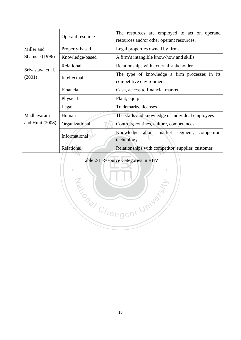|                       | Operant resource | The resources are employed to act on operand<br>resources and/or other operant resources. |  |  |  |  |
|-----------------------|------------------|-------------------------------------------------------------------------------------------|--|--|--|--|
| Miller and            | Property-based   | Legal properties owned by firms                                                           |  |  |  |  |
| <b>Shamsie</b> (1996) | Knowledge-based  | A firm's intangible know-how and skills                                                   |  |  |  |  |
| Srivastava et al.     | Relational       | Relationships with external stakeholder                                                   |  |  |  |  |
| (2001)                | Intellectual     | The type of knowledge a firm processes in its<br>competitive environment                  |  |  |  |  |
|                       | Financial        | Cash, access to financial market                                                          |  |  |  |  |
|                       | Physical         | Plant, equip                                                                              |  |  |  |  |
|                       | Legal            | Trademarks, licenses                                                                      |  |  |  |  |
| Madhavaram            | Human            | The skills and knowledge of individual employees                                          |  |  |  |  |
| and Hunt $(2008)$     | Organizational   | Controls, routines, culture, competences                                                  |  |  |  |  |
|                       | Informational    | Knowledge about market segment,<br>competitor,<br>technology                              |  |  |  |  |
|                       | Relational       | Relationships with competitor, supplier, customer                                         |  |  |  |  |

# Table 2-1 Resource Categories in RBV

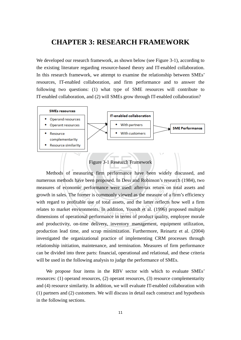### **CHAPTER 3: RESEARCH FRAMEWORK**

We developed our research framework, as shown below (see Figure 3-1), according to the existing literature regarding resource-based theory and IT-enabled collaboration. In this research framework, we attempt to examine the relationship between SMEs' resources, IT-enabled collaboration, and firm performance and to answer the following two questions: (1) what type of SME resources will contribute to IT-enabled collaboration, and (2) will SMEs grow through IT-enabled collaboration?



Figure 3-1 Research Framework

‧ numerous methods have been proposed. In Dess and Robinson's research (1984), two ave been proposed. In Dess and Robinson's res<br>nic performance were used: after-tax return of<br>former is commonly viewed as the measure of a<br>table use of total assets, and the latter reflects<br>vironments. In addition, Youndt measures of economic performance were used: after-tax return on total assets and growth in sales. The former is commonly viewed as the measure of a firm's efficiency with regard to profitable use of total assets, and the latter reflects how well a firm relates to market environments. In addition, Youndt et al. (1996) proposed multiple dimensions of operational performance in terms of product quality, employee morale and productivity, on-time delivery, inventory management, equipment utilization, production lead time, and scrap minimization. Furthermore, Reinartz et al. (2004) investigated the organizational practice of implementing CRM processes through relationship initiation, maintenance, and termination. Measures of firm performance can be divided into three parts: financial, operational and relational, and these criteria will be used in the following analysis to judge the performance of SMEs.

We propose four items in the RBV sector with which to evaluate SMEs' resources: (1) operand resources, (2) operant resources, (3) resource complementarity and (4) resource similarity. In addition, we will evaluate IT-enabled collaboration with (1) partners and (2) customers. We will discuss in detail each construct and hypothesis in the following sections.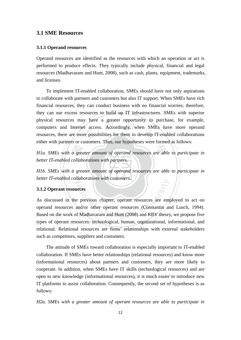#### **3.1 SME Resources**

#### **3.1.1 Operand resources**

Operand resources are identified as the resources with which an operation or act is performed to produce effects. They typically include physical, financial and legal resources (Madhavaram and Hunt, 2008), such as cash, plants, equipment, trademarks, and licenses.

y have a greater opportunity to<br>t access. Accordingly, when SM<br>repossibilities for them to develop To implement IT-enabled collaboration, SMEs should have not only aspirations to collaborate with partners and customers but also IT support. When SMEs have rich financial resources, they can conduct business with no financial worries; therefore, they can use excess resources to build up IT infrastructures. SMEs with superior physical resources may have a greater opportunity to purchase, for example, computers and Internet access. Accordingly, when SMEs have more operand resources, there are more possibilities for them to develop IT-enabled collaborations either with partners or customers. Thus, our hypotheses were formed as follows:

H1a. SMEs with a greater amount of operand resources are able to participate in<br>better IT-enabled collaborations with partners.<br>H1b. SMEs with a greater amount of operand resources are able to participate in *better IT-enabled collaborations with partners.* 

**H1b.** SMEs with a greater amount of operand resources are able to participate in N *better IT-enabled collaborations with customers.*

#### **3.1.2 Operant resources**

Frees<br>
September 2008 of the person of the series of the person of Madhavaram and Hunt (2008) and RBV theory<br>
The Madhavaram and Hunt (2008) and RBV theory As discussed in the previous chapter, operant resources are employed to act on operand resources and/or other operant resources (Constantin and Lusch, 1994). Based on the work of Madhavaram and Hunt (2008) and RBV theory, we propose five types of operant resources: technological, human, organizational, informational, and relational. Relational resources are firms' relationships with external stakeholders such as competitors, suppliers and customers.

The attitude of SMEs toward collaboration is especially important to IT-enabled collaboration. If SMEs have better relationships (relational resources) and know more (informational resources) about partners and customers, they are more likely to cooperate. In addition, when SMEs have IT skills (technological resources) and are open to new knowledge (informational resources), it is much easier to introduce new IT platforms to assist collaboration. Consequently, the second set of hypotheses is as follows:

*H2a. SMEs with a greater amount of operant resources are able to participate in*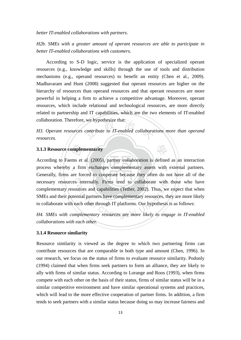*better IT-enabled collaborations with partners.* 

*H2b. SMEs with a greater amount of operant resources are able to participate in better IT-enabled collaborations with customers.* 

According to S-D logic, service is the application of specialized operant resources (e.g., knowledge and skills) through the use of tools and distribution mechanisms (e.g., operand resources) to benefit an entity (Chen et al., 2009). Madhavaram and Hunt (2008) suggested that operant resources are higher on the hierarchy of resources than operand resources and that operant resources are more powerful in helping a firm to achieve a competitive advantage. Moreover, operant resources, which include relational and technological resources, are more directly related to partnership and IT capabilities, which are the two elements of IT-enabled collaboration. Therefore, we hypothesize that:

we hypothesize that:<br>contribute to IT-enabled collaboral H3. Operant resources contribute to IT-enabled collaborations more than operand *resources.* 

學

**3.1.3 Resource complementarity**<br>
According to Faems et al. (2005)<br>
process whereby a firm exchang<br>
Generally firms are forced to contract process whereby a firm exchanges complementary assets with external partners. necessary resources internally. Firms tend to collaborate with those who have internally. Firms tend to collaborate with<br>urces and capabilities (Tether, 2002). Thus, we<br>ntial partners have complementary resources, th<br>ach other through IT platforms. Our hypothesis<br>plementary resources are more likely According to Faems et al. (2005), partner collaboration is defined as an interaction Generally, firms are forced to cooperate because they often do not have all of the complementary resources and capabilities (Tether, 2002). Thus, we expect that when SMEs and their potential partners have complementary resources, they are more likely to collaborate with each other through IT platforms. Our hypothesis is as follows:

*H4. SMEs with complementary resources are more likely to engage in IT-enabled collaborations with each other.*

#### **3.1.4 Resource similarity**

Resource similarity is viewed as the degree to which two partnering firms can contribute resources that are comparable in both type and amount (Chen, 1996). In our research, we focus on the status of firms to evaluate resource similarity. Podonly (1994) claimed that when firms seek partners to form an alliance, they are likely to ally with firms of similar status. According to Lorange and Roos (1993), when firms compete with each other on the basis of their status, firms of similar status will be in a similar competitive environment and have similar operational systems and practices, which will lead to the more effective cooperation of partner firms. In addition, a firm tends to seek partners with a similar status because doing so may increase fairness and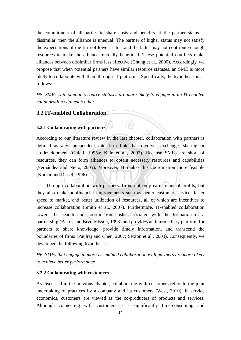the commitment of all parties to share costs and benefits. If the partner status is dissimilar, then the alliance is unequal. The partner of higher status may not satisfy the expectations of the firm of lower status, and the latter may not contribute enough resources to make the alliance mutually beneficial. These potential conflicts make alliances between dissimilar firms less effective (Chung et al., 2000). Accordingly, we propose that when potential partners have similar resource statuses, an SME is more likely to collaborate with them through IT platforms. Specifically, the hypothesis is as follows:

*H5. SMEs with similar resource statuses are more likely to engage in an IT-enabled collaboration with each other.*

#### **3.2 IT-enabled Collaboration**

### **3.2.1 Collaborating with partners**

indepe<br>Gulat<br>an foi<br>Vieto,<br>1 199 **3.2.1 Collaborating with partners**  $\frac{1}{\sqrt{2}}$ <br>According to our literature review in the last chapter, collaboration with partners is defined as any independent inter-firm link that involves exchange, sharing or co-development (Gulati, 1995a; Kale et al., 2002). Because SMEs are short of (Fernández and Nieto, 2005). Moreover, IT makes this coordination more feasible defined as any independent inter-firm link that involves exchange, sharing or resources, they can form alliances to obtain necessary resources and capabilities (Kumar and Dissel, 1996).

boration with partners, firms not only earn financial improvements such as better custom<br>and better utilization of resources, all of which<br>ion (Smith et al., 2007). Furthermore, IT-enat<br>and coordination costs associated wi Through collaboration with partners, firms not only earn financial profits, but they also make nonfinancial improvements such as better customer service, faster speed to market, and better utilization of resources, all of which are incentives to increase collaboration (Smith et al., 2007). Furthermore, IT-enabled collaboration lowers the search and coordination costs associated with the formation of a partnership (Bakos and Brynjolfsson, 1993) and provides an intermediary platform for partners to share knowledge, provide timely information, and transcend the boundaries of firms (Paulraj and Chen, 2007; Sexton et al., 2003). Consequently, we developed the following hypothesis:

*H6. SMEs that engage in more IT-enabled collaboration with partners are more likely to achieve better performance.*

#### **3.2.2 Collaborating with customers**

As discussed in the previous chapter, collaborating with customers refers to the joint undertaking of practices by a company and its customers (West, 2010). In service economics, customers are viewed as the co-producers of products and services. Although connecting with customers is a significantly time-consuming and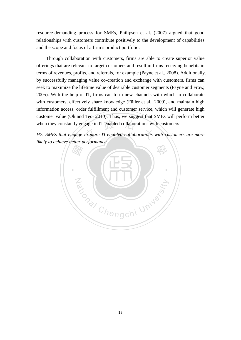resource-demanding process for SMEs, Philipsen et al. (2007) argued that good relationships with customers contribute positively to the development of capabilities and the scope and focus of a firm's product portfolio.

Through collaboration with customers, firms are able to create superior value offerings that are relevant to target customers and result in firms receiving benefits in terms of revenues, profits, and referrals, for example (Payne et al., 2008). Additionally, by successfully managing value co-creation and exchange with customers, firms can seek to maximize the lifetime value of desirable customer segments (Payne and Frow, 2005). With the help of IT, firms can form new channels with which to collaborate with customers, effectively share knowledge (Füller et al., 2009), and maintain high information access, order fulfillment and customer service, which will generate high customer value (Oh and Teo, 2010). Thus, we suggest that SMEs will perform better

when they constantly engage in IT-enabled collaborations with customers:<br>H7. SMEs that engage in more IT-enabled collaborations with customer *H7. SMEs that engage in more IT-enabled collaborations with customers are more likely to achieve better performance.*

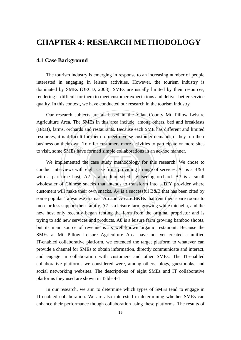### **CHAPTER 4: RESEARCH METHODOLOGY**

#### **4.1 Case Background**

The tourism industry is emerging in response to an increasing number of people interested in engaging in leisure activities. However, the tourism industry is dominated by SMEs (OECD, 2008). SMEs are usually limited by their resources, rendering it difficult for them to meet customer expectations and deliver better service quality. In this context, we have conducted our research in the tourism industry.

SMEs in this area include, among o<br>and restaurants. Because each SME<br>for them to meet diverse customer Our research subjects are all based in the Yilan County Mt. Pillow Leisure Agriculture Area. The SMEs in this area include, among others, bed and breakfasts (B&B), farms, orchards and restaurants. Because each SME has different and limited resources, it is difficult for them to meet diverse customer demands if they run their business on their own. To offer customers more activities to participate or more sites

conduct interviews with eight case firms providing a range of services. A1 is a B&B business on their own. To offer customers more activities to participate of it<br>to visit, some SMEs have formed simple collaborations in an ad-hoc manner.<br>We implemented the case study methodology for this research. We<br>cond wholesaler of Chinese snacks that intends to transform into a DIY provider where se snacks that intends to transform into a DI<br>their own snacks. A4 is a successful B&B that<br>nese dramas. A5 and A6 are B&Bs that rent the<br>their family. A7 is a leisure farm growing white<br>ntly began renting the farm from th We implemented the case study methodology for this research. We chose to with a part-time host. A2 is a medium-sized sightseeing orchard. A3 is a small customers will make their own snacks. A4 is a successful B&B that has been cited by some popular Taiwanese dramas. A5 and A6 are B&Bs that rent their spare rooms to more or less support their family. A7 is a leisure farm growing white michelia, and the new host only recently began renting the farm from the original proprietor and is trying to add new services and products. A8 is a leisure farm growing bamboo shoots, but its main source of revenue is its well-known organic restaurant. Because the SMEs at Mt. Pillow Leisure Agriculture Area have not yet created a unified IT-enabled collaborative platform, we extended the target platform to whatever can provide a channel for SMEs to obtain information, directly communicate and interact, and engage in collaboration with customers and other SMEs. The IT-enabled collaborative platforms we considered were, among others, blogs, guestbooks, and social networking websites. The descriptions of eight SMEs and IT collaborative platforms they used are shown in Table 4-1.

In our research, we aim to determine which types of SMEs tend to engage in IT-enabled collaboration. We are also interested in determining whether SMEs can enhance their performance though collaboration using these platforms. The results of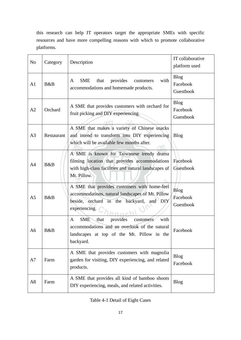this research can help IT operators target the appropriate SMEs with specific resources and have more compelling reasons with which to promote collaborative platforms.

| No             | Category   | Description                                                                                                                                                       | IT collaborative<br>platform used    |
|----------------|------------|-------------------------------------------------------------------------------------------------------------------------------------------------------------------|--------------------------------------|
| A <sub>1</sub> | B&B        | <b>SME</b><br>that<br>provides<br>with<br>customers<br>A<br>accommodations and homemade products.                                                                 | <b>Blog</b><br>Facebook<br>Guestbook |
| A2             | Orchard    | A SME that provides customers with orchard for<br>fruit picking and DIY experiencing.                                                                             | <b>Blog</b><br>Facebook<br>Guestbook |
| A <sub>3</sub> | Restaurant | A SME that makes a variety of Chinese snacks<br>and intend to transform into DIY experiencing<br>which will be available few months after.                        | <b>Blog</b>                          |
| A4             | B&B        | A SME is known for Taiwanese trendy drama<br>filming location that provides accommodations<br>with high-class facilities and natural landscapes of<br>Mt. Pillow. | Facebook<br>Guestbook                |
| A <sub>5</sub> | B&B        | A SME that provides customers with home-feel<br>accommodations, natural landscapes of Mt. Pillow<br>beside, orchard in the backyard, and DIY<br>experiencing.     | <b>Blog</b><br>Facebook<br>Guestbook |
| A6             | B&B        | SME<br>provides<br>with<br>that<br>customers<br>A<br>accommodations and an overlook of the natural<br>landscapes at top of the Mt. Pillow in the<br>backyard.     | Facebook                             |
| A7             | Farm       | A SME that provides customers with magnolia<br>garden for visiting, DIY experiencing, and related<br>products.                                                    | <b>Blog</b><br>Facebook              |
| A8             | Farm       | A SME that provides all kind of bamboo shoots<br>DIY experiencing, meals, and related activities.                                                                 | <b>Blog</b>                          |

Table 4-1 Detail of Eight Cases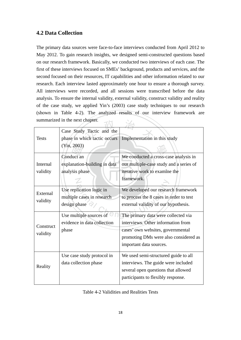#### **4.2 Data Collection**

The primary data sources were face-to-face interviews conducted from April 2012 to May 2012. To gain research insights, we designed semi-constructed questions based on our research framework. Basically, we conducted two interviews of each case. The first of these interviews focused on SMEs' background, products and services, and the second focused on their resources, IT capabilities and other information related to our research. Each interview lasted approximately one hour to ensure a thorough survey. All interviews were recorded, and all sessions were transcribed before the data analysis. To ensure the internal validity, external validity, construct validity and reality of the case study, we applied Yin's (2003) case study techniques to our research (shown in Table 4-2). The analyzed results of our interview framework are summarized in the next chapter.

|                       | summarized in the next chapter.                                          |                                                                                                                                                                                    |  |  |  |  |  |
|-----------------------|--------------------------------------------------------------------------|------------------------------------------------------------------------------------------------------------------------------------------------------------------------------------|--|--|--|--|--|
| <b>Tests</b>          | Case Study Tactic and the<br>phase in which tactic occurs<br>(Yin, 2003) | Implementation in this study                                                                                                                                                       |  |  |  |  |  |
| Internal<br>validity  | Conduct an<br>explanation-building in data<br>analysis phase             | We conducted a cross-case analysis in<br>our multiple-case study and a series of<br>iterative work to examine the<br>framework.                                                    |  |  |  |  |  |
| External<br>validity  | Use replication logic in<br>multiple cases in research<br>design phase   | We developed our research framework<br>to process the 8 cases in order to test<br>external validity of our hypothesis.                                                             |  |  |  |  |  |
| Construct<br>validity | Use multiple sources of<br>evidence in data collection<br>phase          | The primary data were collected via<br>interviews. Other information from<br>cases' own websites, governmental<br>promoting DMs were also considered as<br>important data sources. |  |  |  |  |  |
| Reality               | Use case study protocol in<br>data collection phase                      | We used semi-structured guide to all<br>interviews. The guide were included<br>several open questions that allowed<br>participants to flexibly response.                           |  |  |  |  |  |

Table 4-2 Validities and Realities Tests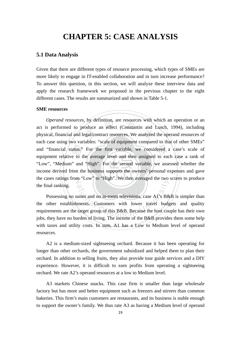### **CHAPTER 5: CASE ANALYSIS**

#### **5.1 Data Analysis**

Given that there are different types of resource processing, which types of SMEs are more likely to engage in IT-enabled collaboration and in turn increase performance? To answer this question, in this section, we will analyze these interview data and apply the research framework we proposed in the previous chapter to the eight different cases. The results are summarized and shown in Table 5-1.

#### **SME resources**

income derived from the business supports the owners' personal expenses and gave and "financial status." For the first variable, we considered a case's scale of equipment relative to the average level and then assigned to each case a rank of "Low", "Medium" and "High". For the second variable, we asses by definition, are resources with v<br>
"oduce an effect (Constantin and<br>
egal/contract resources. We analyzed the cases ratings from "Low" to "High". We then averaged the two scores to produce *Operand resources,* by definition, are resources with which an operation or an act is performed to produce an effect (Constantin and Lusch, 1994), including physical, financial and legal/contract resources. We analyzed the operand resources of each case using two variables: "scale of equipment compared to that of other SMEs" equipment relative to the average level and then assigned to each case a rank of "Low", "Medium" and "High". For the second variable, we assessed whether the the final ranking.

ational Company and the mean averaged the two<br>suites and no in-room televisions, case A1's B&<br>suments. Customers with lower travel budg<br>target group of this B&B. Because the host courden of living. The income of the B&B pr Possessing no suites and no in-room televisions, case A1's B&B is simpler than the other establishments. Customers with lower travel budgets and quality requirements are the target group of this B&B. Because the host couple has their own jobs, they have no burden of living. The income of the B&B provides them some help with taxes and utility costs. In sum, A1 has a Low to Medium level of operand resources.

 A2 is a medium-sized sightseeing orchard. Because it has been operating for longer than other orchards, the government subsidized and helped them to plan their orchard. In addition to selling fruits, they also provide tour guide services and a DIY experience. However, it is difficult to earn profits from operating a sightseeing orchard. We rate A2's operand resources at a low to Medium level.

 A3 markets Chinese snacks. This case firm is smaller than large wholesale factory but has more and better equipment such as freezers and stirrers than common bakeries. This firm's main customers are restaurants, and its business is stable enough to support the owner's family. We thus rate A3 as having a Medium level of operand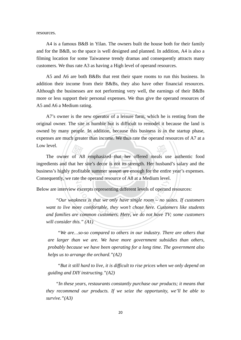resources.

 A4 is a famous B&B in Yilan. The owners built the house both for their family and for the B&B, so the space is well designed and planned. In addition, A4 is also a filming location for some Taiwanese trendy dramas and consequently attracts many customers. We thus rate A3 as having a High level of operand resources.

 A5 and A6 are both B&Bs that rent their spare rooms to run this business. In addition their income from their B&Bs, they also have other financial resources. Although the businesses are not performing very well, the earnings of their B&Bs more or less support their personal expenses. We thus give the operand resources of A5 and A6 a Medium rating.

is humble but is difficult to remode.<br>In addition, because this business<br>er than income. We thus rate the open A7's owner is the new operator of a leisure farm, which he is renting from the original owner. The site is humble but is difficult to remodel it because the land is owned by many people. In addition, because this business is in the startup phase, expenses are much greater than income. We thus rate the operand resources of A7 at a Low level.

business's highly profitable summer season are enough for the entire year's expenses. The owner of A8 emphasized that her offered meals use authentic food ingredients and that her site's decor is not its strength. Her husband's salary and the business's highly profitable summer season are enough for the ent Consequently, we rate the operand resource of A8 at a Medium level. ingredients and that her site's decor is not its strength. Her husband's salary and the

Below are interview excerpts representing different levels of operand resources:

excerpts representing different levels of operance<br>kness is that we only have single room – no sure comfortable, they won't chose here. Custor<br>e common customers. Here, we do not have TV *"Our weakness is that we only have single room – no suites. If customers want to live more comfortable, they won't chose here. Customers like students and families are common customers. Here, we do not have TV; some customers will consider this." (A1)* 

*"We are…so-so compared to others in our industry. There are others that are larger than we are. We have more government subsidies than others, probably because we have been operating for a long time. The government also helps us to arrange the orchard."(A2)* 

*"But it still hard to live, it is difficult to rise prices when we only depend on guiding and DIY instructing."(A2)* 

*"In these years, restaurants constantly purchase our products; it means that they recommend our products. If we seize the opportunity, we'll be able to survive."(A3)*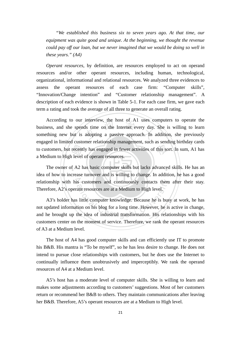*"We established this business six to seven years ago. At that time, our equipment was quite good and unique. At the beginning, we thought the revenue could pay off our loan, but we never imagined that we would be doing so well in these years." (A4)* 

*Operant resources,* by definition, are resources employed to act on operand resources and/or other operant resources, including human, technological, organizational, informational and relational resources. We analyzed three evidences to assess the operant resources of each case firm: "Computer skills", "Innovation/Change intention" and "Customer relationship management". A description of each evidence is shown in Table 5-1. For each case firm, we gave each term a rating and took the average of all three to generate an overall rating.

recent<br>Preser<br>Preser interview, the host of A1 uses c<br>ds time on the Internet every day.<br>adopting a passive approach. In to customers, but recently has engaged in fewer activities of this sort. In sum, A1 has According to our interview, the host of A1 uses computers to operate the business, and she spends time on the Internet every day. She is willing to learn something new but is adopting a passive approach. In addition, she previously engaged in limited customer relationship management, such as sending birthday cards a Medium to High level of operant resources.

The owner of A2 has basic computer skills but lacks advanced skills. He has an relationship with his customers and continuously contacts them after their stay. idea of how to increase turnover and is willing to change. In addition, he has a good Therefore, A2's operant resources are at a Medium to High level.

relationship with his customers and continuously contacts them after their stay.<br>Therefore, A2's operant resources are at a Medium to High level.<br>A3's holder has little computer knowledge. Because he is busy at work, he ha A3's holder has little computer knowledge. Because he is busy at work, he has not updated information on his blog for a long time. However, he is active in change, customers center on the moment of service. Therefore, we rank the operant resources of A3 at a Medium level.

 The host of A4 has good computer skills and can efficiently use IT to promote his B&B. His mantra is "To be myself", so he has less desire to change. He does not intend to pursue close relationships with customers, but he does use the Internet to continually influence them unobtrusively and imperceptibly. We rank the operand resources of A4 at a Medium level.

 A5's host has a moderate level of computer skills. She is willing to learn and makes some adjustments according to customers' suggestions. Most of her customers return or recommend her B&B to others. They maintain communications after leaving her B&B. Therefore, A5's operant resources are at a Medium to High level.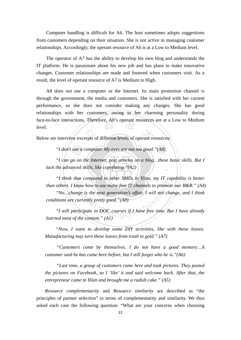Computer handling is difficult for A6. The host sometimes adopts suggestions from customers depending on their situation. She is not active in managing customer relationships. Accordingly, the operant resource of A6 is at a Low to Medium level.

 The operator of A7 has the ability to develop his own blog and understands the IT platform. He is passionate about his new job and has plans to make innovative changes. Customer relationships are made and fostered when customers visit. As a result, the level of operant resource of A7 is Medium to High.

tace-to-tace interactions. Therefore, A8's operant resources are at a<br>level.<br>Below are interview excerpts of different levels of operant resources: A8 does not use a computer or the Internet. Its main promotion channel is through the government, the media and customers. She is satisfied with her current performance, so she does not consider making any changes. She has good relationships with her customers, owing to her charming personality during face-to-face interactions. Therefore, A8's operant resources are at a Low to Medium level.

"I don't use a computer. My eyes are not too good."(A8)<br>"I can go on the Internet, post articles on a blog...those<br>the advanced skills, like copyfitting."(A2) ‧  *"I can go on the Internet, post articles on a blog…those basic skills. But I lack the advanced skills, like copyfitting."(A2)* 

"I think that compared to other SMEs in Yilan, my IT capability is better ative compared to other states in Them,  $my \leq$ <br>now how to use many free IT channels to promo<br>nge is the next generation's affair. I will not ch<br>urrently pretty good."(A8)<br>rticipate in DOC courses if I have free time. B<br>th *than others. I know how to use many free IT channels to promote our B&B." (A4) "No…change is the next generation's affair. I will not change, and I think conditions are currently pretty good."(A8)* 

 *"I will participate in DOC courses if I have free time. But I have already learned most of the content." (A1)* 

 *"Now, I want to develop some DIY activities, like with these leaves. Manufacturing may turn these leaves from trash to gold." (A7)* 

*"Customers come by themselves. I do not have a good memory…A customer said he has came here before, but I still forget who he is."(A6)* 

*"Last time, a group of customers came here and took pictures. They posted the pictures on Facebook, so I 'like' it and said welcome back. After that, the entrepreneur came to Yilan and brought me a radish cake." (A5)* 

*Resource complementarity* and *Resource similarity* are described as "the principles of partner selection" in terms of complementarity and similarity. We thus asked each case the following question: "What are your concerns when choosing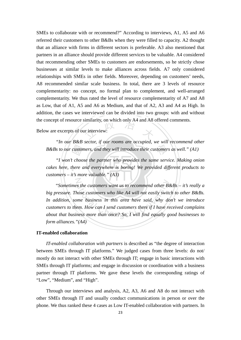the concept of resource similarity, on which only A4 and A8 offered comments.<br>Below are excerpts of our interview: SMEs to collaborate with or recommend?" According to interviews, A1, A5 and A6 referred their customers to other B&Bs when they were filled to capacity. A2 thought that an alliance with firms in different sectors is preferable. A3 also mentioned that partners in an alliance should provide different services to be valuable. A4 considered that recommending other SMEs to customers are endorsements, so he strictly chose businesses at similar levels to make alliances across fields. A7 only considered relationships with SMEs in other fields. Moreover, depending on customers' needs, A8 recommended similar scale business. In total, there are 3 levels of resource complementarity: no concept, no formal plan to complement, and well-arranged complementarity. We thus rated the level of resource complementarity of A7 and A8 as Low, that of A1, A5 and A6 as Medium, and that of A2, A3 and A4 as High. In addition, the cases we interviewed can be divided into two groups: with and without

Below are excerpts of our interview:

B&Bs to our customers, and they will introduce their customers as well." (A1) *"In our B&B sector, if our rooms are occupied, we will recommend other* 

custor<br>t choo<br>here d cakes here, there and everywhere is boring! We provided different products to *"I won't choose the partner who provides the same service. Making onion customers – it's more valuable." (A3)* 

N at the customers want us to recommend other B<br>hose customers who like A4 will not easily swite<br>nme business in this area have said, why do<br>em. How can I send customers there if I have re<br>ness more than once? So, I will fin "*Sometimes the customers want us to recommend other B&Bs – it's really a big pressure. Those customers who like A4 will not easily switch to other B&Bs. In addition, some business in this area have said, why don't we introduce customers to them. How can I send customers there if I have received complains about that business more than once? So, I will find equally good businesses to form alliances."(A4)* 

#### **IT-enabled collaboration**

*IT-enabled collaboration with partners* is described as "the degree of interaction between SMEs through IT platforms." We judged cases from three levels: do not/ mostly do not interact with other SMEs through IT; engage in basic interactions with SMEs through IT platforms; and engage in discussion or coordination with a business partner through IT platforms. We gave these levels the corresponding ratings of "Low", "Medium", and "High".

 Through our interviews and analysis, A2, A3, A6 and A8 do not interact with other SMEs through IT and usually conduct communications in person or over the phone. We thus ranked these 4 cases as Low IT-enabled collaboration with partners. In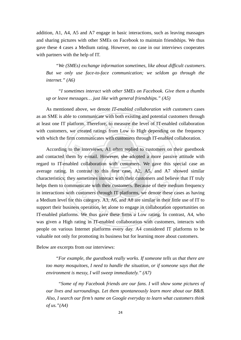addition, A1, A4, A5 and A7 engage in basic interactions, such as leaving massages and sharing pictures with other SMEs on Facebook to maintain friendships. We thus gave these 4 cases a Medium rating. However, no case in our interviews cooperates with partners with the help of IT.

*"We (SMEs) exchange information sometimes, like about difficult customers. But we only use face-to-face communication; we seldom go through the internet." (A6)* 

 *"I sometimes interact with other SMEs on Facebook. Give them a thumbs up or leave messages… just like with general friendships." (A5)* 

Therefore, to measure the level of<br>ated ratings from Low to High dep<br>municates with customers through I As mentioned above, we denote *IT-enabled collaboration with customers* cases as an SME is able to communicate with both existing and potential customers through at least one IT platform. Therefore, to measure the level of IT-enabled collaboration with customers, we created ratings from Low to High depending on the frequency with which the firm communicates with customers through IT-enabled collaboration.

average rating. In contrast to this first case, A2, A5, and A7 showed similar According to the interviews, A1 often replied to customers on their guestbook contacted them by e-mail. However, she adopted a more passive attitude with d to IT-enabled collaboration with customers. We gave this special c characteristics; they sometimes interact with their customers and believe that IT truly helps them to communicate with their customers. Because of their medium frequency<br>in interactions with customers through IT platforms, we denote these cases as having<br>a Medium level for this category. A3, A6, and A8 are si and contacted them by e-mail. However, she adopted a more passive attitude with regard to IT-enabled collaboration with customers. We gave this special case an helps them to communicate with their customers. Because of their medium frequency in interactions with customers through IT platforms, we denote these cases as having a Medium level for this category. A3, A6, and A8 are similar in their little use of IT to support their business operation, let alone to engage in collaboration opportunities on was given a High rating in IT-enabled collaboration with customers, interacts with people on various Internet platforms every day. A4 considered IT platforms to be valuable not only for promoting its business but for learning more about customers.

Below are excerpts from our interviews:

*"For example, the guestbook really works. If someone tells us that there are too many mosquitoes, I need to handle the situation, or if someone says that the environment is messy, I will sweep immediately." (A7)* 

 *"Some of my Facebook friends are our fans. I will show some pictures of our lives and surroundings. Let them spontaneously learn more about our B&B. Also, I search our firm's name on Google everyday to learn what customers think of us."(A4)*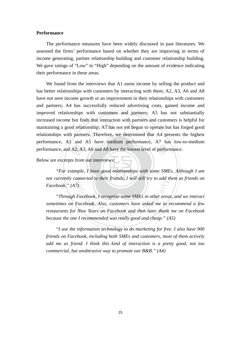#### **Performance**

The performance measures have been widely discussed in past literatures. We assessed the firms' performance based on whether they are improving in terms of income generating, partner relationship building and customer relationship building. We gave ratings of "Low" to "High" depending on the amount of evidence indicating their performance in these areas.

performance, and A2, A3, A6 and A8 have the lowest level of performance.<br>Below are excerpts from our interviews:<br>"For example, I have good relationships with some SMEs. Alth nds that interaction with partners and<br>ionship; A7 has not yet begun to op<br>ers. Therefore, we determined that We found from the interviews that A1 earns income by selling the product and has better relationships with customers by interacting with them; A2, A3, A6 and A8 have not seen income growth or an improvement in their relationships with customers and partners; A4 has successfully reduced advertising costs, gained income and improved relationships with customers and partners; A5 has not substantially increased income but finds that interaction with partners and customers is helpful for maintaining a good relationship; A7 has not yet begun to operate but has forged good relationships with partners. Therefore, we determined that A4 presents the highest performance, A1 and A5 have medium performance, A7 has low-to-medium

Below are excerpts from our interviews:

"For example, I have good relationships with some SMEs. Although I am not currently connected to their friends, I will still try to add them as friends on *Facebook." (A7)* 

Facebook, I recognize some SMEs in other area<br>Facebook, I recognize some SMEs in other area<br>Facebook, Also, customers have asked me to<br>New Years on Facebook and then later thank<br>Lecommended was really 200d and cheap " (A *"Through Facebook, I recognize some SMEs in other areas, and we interact sometimes on Facebook. Also, customers have asked me to recommend a few restaurants for New Years on Facebook and then later thank me on Facebook because the one I recommended was really good and cheap." (A5)* 

*"I use the information technology to do marketing for free. I also have 900 friends on Facebook, including both SMEs and customers, most of them actively add me as friend. I think this kind of interaction is a pretty good, not too commercial, but unobtrusive way to promote our B&B." (A4)*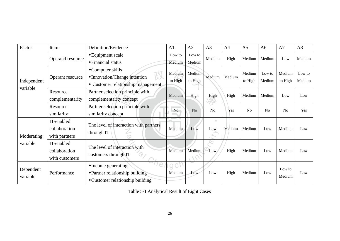| Factor                | Item                                          | Definition/Evidence                                                                                  | A <sub>1</sub>         | A <sub>2</sub>    | A3                  | A <sub>4</sub> | A <sub>5</sub>    | A6               | A7                | A8               |
|-----------------------|-----------------------------------------------|------------------------------------------------------------------------------------------------------|------------------------|-------------------|---------------------|----------------|-------------------|------------------|-------------------|------------------|
| Independent           | Operand resource                              | ◆ Equipment scale<br>◆Financial status                                                               | Low to<br>Medium       | Low to<br>Medium  | Medium              | High           | Medium            | Medium           | Low               | Medium           |
|                       | Operant resource                              | ◆Computer skills<br>•Innovation/Change intention<br>• Customer relationship management               | Medium<br>to High      | Medium<br>to High | Medium              | Medium         | Medium<br>to High | Low to<br>Medium | Medium<br>to High | Low to<br>Medium |
| variable              | Resource<br>complementarity                   | Partner selection principle with<br>complementarity concept                                          | Medium                 | High              | High                | High           | Medium            | Medium           | Low               | Low              |
|                       | Resource<br>similarity                        | Partner selection principle with<br>similarity concept                                               | No                     | N <sub>o</sub>    | ÷<br>N <sub>o</sub> | Yes            | N <sub>o</sub>    | N <sub>0</sub>   | N <sub>o</sub>    | Yes              |
| Moderating            | IT-enabled<br>collaboration<br>with partners  | The level of interaction with partners<br>through IT                                                 | Medium                 | Low               | ш<br>Low<br>Yu.     | Medium         | Medium            | Low              | Medium            | Low              |
| variable              | IT-enabled<br>collaboration<br>with customers | The level of interaction with<br>customers through IT                                                | Medium                 | Medium            | Low                 | High           | Medium            | Low              | Medium            | Low              |
| Dependent<br>variable | Performance                                   | $\triangle$ Income generating<br>• Partner relationship building<br>• Customer relationship building | $\mathsf{C}$<br>Medium | Low               | Low                 | High           | Medium            | Low              | Low to<br>Medium  | Low              |

Table 5-1 Analytical Result of Eight Cases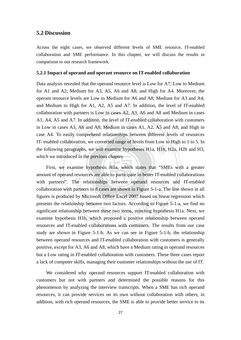#### **5.2 Discussion**

Across the eight cases, we observed different levels of SME resource, IT-enabled collaboration and SME performance. In this chapter, we will discuss the results in comparison to our research framework.

#### **5.2.1 Impact of operand and operant resource on IT-enabled collaboration**

ngraph<br>ced in<br>amine addition, the level of IT-enabled coll<br>and A8; Medium in cases A1, A2,<br>prehend relationships between diff the following paragraphs, we will examine hypotheses H1a, H1b, H2a, H2b and H3, Data analysis revealed that the operand resource level is Low for A7; Low to Medium for A1 and A2; Medium for A3, A5, A6 and A8; and High for A4. Moreover, the operant resource levels are Low to Medium for A6 and A8; Medium for A3 and A4; and Medium to High for A1, A2, A5 and A7. In addition, the level of IT-enabled collaboration with partners is Low in cases A2, A3, A6 and A8 and Medium in cases A1, A4, A5 and A7. In addition, the level of IT-enabled collaboration with customers in Low in cases A3, A6 and A8; Medium in cases A1, A2, A5 and A8; and High in case A4. To easily comprehend relationships between different levels of resources IT- enabled collaboration, we converted range of levels from Low to High to 1 to 5. In which we introduced in the previous chapter.

First, we examine hypothesis H1a, which states that "SMEs with a greater with partners". The relationships between operand resources and IT-enabled e relationships between operand resources<br>artners in 8 cases are shown in Figure 5-1-a. The<br>by Microsoft Office Excel 2007 based on linear<br>ship between two factors. According to Figure<br>hip between these two items, rejectin amount of operand resources are able to participate in better IT-enabled collaborations collaboration with partners in 8 cases are shown in Figure 5-1-a. The line shown in all figures is produced by Microsoft Office Excel 2007 based on linear regression which presents the relationship between two factors. According to Figure 5-1-a, we find no significant relationship between these two items, rejecting hypothesis H1a. Next, we examine hypothesis H1b, which proposed a positive relationship between operand resources and IT-enabled collaborations with customers. The results from our case study are shown in Figure 5-1-b. As we can see in Figure 5-1-b, the relationship between operand resources and IT-enabled collaboration with customers is generally positive, except for A3, A6 and A8, which have a Medium rating in operand resources but a Low rating in IT-enabled collaboration with customers. These three cases report a lack of computer skills, managing their customer relationships without the use of IT.

We considered why operand resources support IT-enabled collaboration with customers but not with partners and determined the possible reasons for this phenomenon by analyzing the interview transcripts. When a SME has rich operand resources, it can provide services on its own without collaboration with others; in addition, with rich operand resources, the SME is able to provide better service to its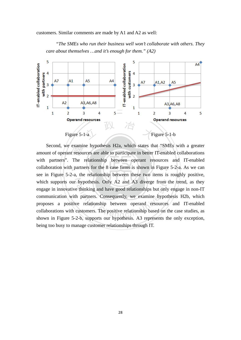customers. Similar comments are made by A1 and A2 as well:

*"The SMEs who run their business well won't collaborate with others. They care about themselves …and it's enough for them." (A2)* 



examı<br>t resou<br>The<br>q partn Second, we examine hypothesis H2a, which states that "SMEs with a greater amount of operant resources are able to participate in better IT-enabled collaborations collaboration with partners for the 8 case firms is shown in Figure 5-2-a. As we can which supports our hypothesis. Only A2 and A3 diverge from the trend, as they hypothesis. Only A2 and A3 diverge from the estimate thinking and have good relationships but only<br>a partners. Consequently, we examine hypothering the relationship between operand resources<br>customers. The positive relatio Second, we examine hypothesis H2a, which states that "SMEs with a greater with partners". The relationship between operant resources and IT-enabled see in Figure 5-2-a, the relationship between these two items is roughly positive, engage in innovative thinking and have good relationships but only engage in non-IT communication with partners. Consequently, we examine hypothesis H2b, which proposes a positive relationship between operand resources and IT-enabled collaborations with customers. The positive relationship based on the case studies, as shown in Figure 5-2-b, supports our hypothesis. A3 represents the only exception, being too busy to manage customer relationships through IT.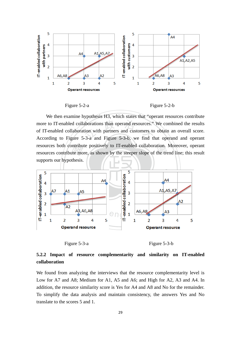

Figure 5-2-a Figure 5-2-b

resources both contribute positively to IT-enabled collaboration. Moreover, operant<br>resources contribute more, as shown by the steeper slope of the trend line; this result<br>supports our hypothesis. more to IT-enabled collaborations than operand resources." We combined the results<br>of IT-enabled collaboration with partners and customers to obtain an overall score.<br>According to Figure 5-3-a and Figure 5-3-b, we find tha We then examine hypothesis H3, which states that "operant resources contribute of IT-enabled collaboration with partners and customers to obtain an overall score. According to Figure 5-3-a and Figure 5-3-b, we find that operand and operant resources both contribute positively to IT-enabled collaboration. Moreover, operant supports our hypothesis.





### **5.2.2 Impact of resource complementarity and similarity on IT-enabled collaboration**

We found from analyzing the interviews that the resource complementarity level is Low for A7 and A8; Medium for A1, A5 and A6; and High for A2, A3 and A4. In addition, the resource similarity score is Yes for A4 and A8 and No for the remainder. To simplify the data analysis and maintain consistency, the answers Yes and No translate to the scores 5 and 1.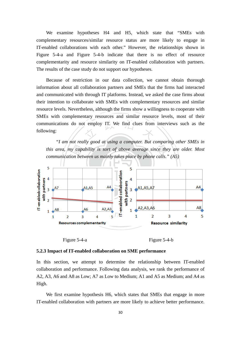We examine hypotheses H4 and H5, which state that "SMEs with complementary resources/similar resource status are more likely to engage in IT-enabled collaborations with each other." However, the relationships shown in Figure 5-4-a and Figure 5-4-b indicate that there is no effect of resource complementarity and resource similarity on IT-enabled collaboration with partners. The results of the case study do not support our hypotheses.

communications do not employ IT. We find clues from interviews such as the following: Because of restriction in our data collection, we cannot obtain thorough information about all collaboration partners and SMEs that the firms had interacted and communicated with through IT platforms. Instead, we asked the case firms about their intention to collaborate with SMEs with complementary resources and similar resource levels. Nevertheless, although the firms show a willingness to cooperate with SMEs with complementary resources and similar resource levels, most of their following:

this area, my capability is sort of above average since they are older. Most<br>communication between us mainly takes place by phone calls." (A5)<br>5 *"I am not really good at using a computer. But comparing other SMEs in communication between us mainly takes place by phone calls." (A5)* 







#### **5.2.3 Impact of IT-enabled collaboration on SME performance**

In this section, we attempt to determine the relationship between IT-enabled collaboration and performance. Following data analysis, we rank the performance of A2, A3, A6 and A8 as Low; A7 as Low to Medium; A1 and A5 as Medium; and A4 as High.

 We first examine hypothesis H6, which states that SMEs that engage in more IT-enabled collaboration with partners are more likely to achieve better performance.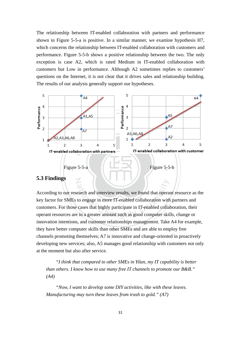The relationship between IT-enabled collaboration with partners and performance shown in Figure 5-5-a is positive. In a similar manner, we examine hypothesis H7, which concerns the relationship between IT-enabled collaboration with customers and performance. Figure 5-5-b shows a positive relationship between the two. The only exception is case A2, which is rated Medium in IT-enabled collaboration with customers but Low in performance. Although A2 sometimes replies to customers' questions on the Internet, it is not clear that it drives sales and relationship building. The results of our analysis generally support our hypotheses.



#### **5.3 Findings**

earch and interview results, we found that opera<br>to engage in more IT-enabled collaboration with<br>cases that highly participate in IT-enabled colla<br>e in a greater amount such as good computer ski According to our research and interview results, we found that operant resource as the key factor for SMEs to engage in more IT-enabled collaboration with partners and customers. For those cases that highly participate in IT-enabled collaboration, their operant resources are in a greater amount such as good computer skills, change or innovation intentions, and customer relationships management. Take A4 for example, they have better computer skills than other SMEs and are able to employ free channels promoting themselves; A7 is innovative and change-oriented in proactively developing new services; also, A5 manages good relationship with customers not only at the moment but also after service.

*"I think that compared to other SMEs in Yilan, my IT capability is better than others. I know how to use many free IT channels to promote our B&B." (A4)* 

*"Now, I want to develop some DIY activities, like with these leaves. Manufacturing may turn these leaves from trash to gold." (A7)*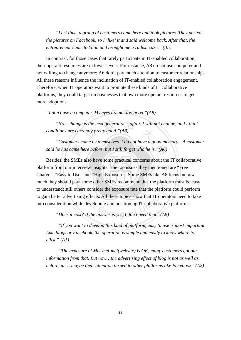*"Last time, a group of customers came here and took pictures. They posted the pictures on Facebook, so I 'like' it and said welcome back. After that, the entrepreneur came to Yilan and brought me a radish cake." (A5)* 

In contrast, for those cases that rarely participate in IT-enabled collaboration, their operant resources are in lower levels. For instance, A8 do not use computer and not willing to change anymore; A6 don't pay much attention to customer relationships. All these reasons influence the inclination of IT-enabled collaboration engagement. Therefore, when IT operators want to promote these kinds of IT collaborative platforms, they could target on businesses that own more operant resources to get more adoptions.

*"I don't use a computer. My eyes are not too good."(A8)* 

"No... change is the next generation's affair. I will not change, and I think<br>itions are currently pretty good."(A8) *conditions are currently pretty good."(A8)* 

said he has came here before, but I still forget who he is."(A6) *"Customers come by themselves. I do not have a good memory…A customer* 

ame h<br>SMEs<br>interv<br>IIse" platform from our interview insights. The top issues they mentioned are "Free much they should pay; some other SMEs recommend that the platform must be easy they should pay; some other SMEs recommend that the platfor erstand; still others consider the exposure rate that the platform better advertising effects. All these topics show that IT operat onsideration while developing Besides, the SMEs also have some practical concerns about the IT collaborative Charge", "Easy to Use" and "High Exposure". Some SMEs like A8 focus on how to understand; still others consider the exposure rate that the platform could perform to gain better advertising effects. All these topics show that IT operators need to take into consideration while developing and positioning IT collaborative platforms.

 *"If you want to develop this kind of platform, easy to use is most important. Like blogs or Facebook, the operation is simple and easily to know where to click." (A1)* 

 *"The exposure of Mei-mei-mei(website) is OK, many customers got our information from that. But now…the advertising effect of blog is not as well as before, uh… maybe their attention turned to other platforms like Facebook."(A2)*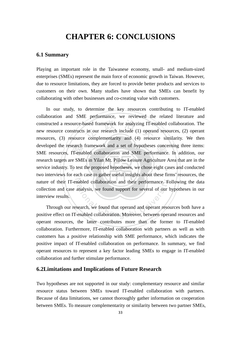### **CHAPTER 6: CONCLUSIONS**

#### **6.1 Summary**

Playing an important role in the Taiwanese economy, small- and medium-sized enterprises (SMEs) represent the main force of economic growth in Taiwan. However, due to resource limitations, they are forced to provide better products and services to customers on their own. Many studies have shown that SMEs can benefit by collaborating with other businesses and co-creating value with customers.

earch<br>IT-ena<br>e SMI<br>ceach constructed a resource-based framework for analyzing IT-enabled collaboration. The<br>new resource constructs in our research include (1) operand resources, (2) operant<br>resources, (3) resource complementarity and (4) resource developed the research framework and a set of hypotheses concerning three items:<br>SME resources, IT-enabled collaboration and SME performance. In addition, our service industry. To test the proposed hypotheses, we chose eight cases and conducted nature of their IT-enabled collaboration and their performance. Following the data nabled collaboration and their performance. For<br>analysis, we found support for several of our l<br>search, we found that operand and operant reso-<br>enabled collaboration. Moreover, between oper In our study, to determine the key resources contributing to IT-enabled collaboration and SME performance, we reviewed the related literature and new resource constructs in our research include (1) operand resources, (2) operant resources, (3) resource complementarity and (4) resource similarity. We then developed the research framework and a set of hypotheses concerning three items: research targets are SMEs in Yilan Mt. Pillow Leisure Agriculture Area that are in the two interviews for each case to gather useful insights about these firms' resources, the collection and case analysis, we found support for several of our hypotheses in our interview results.

 Through our research, we found that operand and operant resources both have a positive effect on IT-enabled collaboration. Moreover, between operand resources and operant resources, the latter contributes more than the former to IT-enabled collaboration. Furthermore, IT-enabled collaboration with partners as well as with customers has a positive relationship with SME performance, which indicates the positive impact of IT-enabled collaboration on performance. In summary, we find operant resources to represent a key factor leading SMEs to engage in IT-enabled collaboration and further stimulate performance.

#### **6.2Limitations and Implications of Future Research**

Two hypotheses are not supported in our study: complementary resource and similar resource status between SMEs toward IT-enabled collaboration with partners. Because of data limitations, we cannot thoroughly gather information on cooperation between SMEs. To measure complementarity or similarity between two partner SMEs,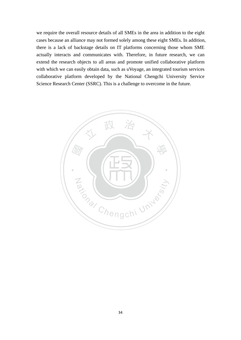we require the overall resource details of all SMEs in the area in addition to the eight cases because an alliance may not formed solely among these eight SMEs. In addition, there is a lack of backstage details on IT platforms concerning those whom SME actually interacts and communicates with. Therefore, in future research, we can extend the research objects to all areas and promote unified collaborative platform with which we can easily obtain data, such as uVoyage, an integrated tourism services collaborative platform developed by the National Chengchi University Service Science Research Center (SSRC). This is a challenge to overcome in the future.

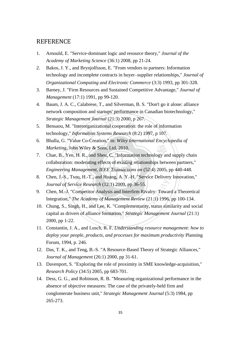#### **REFERENCE**

- 1. Arnould, E. "Service-dominant logic and resource theory," *Journal of the Academy of Marketing Science* (36:1) 2008, pp 21-24.
- 2. Bakos, J. Y., and Brynjolfsson, E. "From vendors to partners: Information technology and incomplete contracts in buyer-supplier relationships," *Journal of Organizational Computing and Electronic Commerce* (3:3) 1993, pp 301-328.
- 3. Barney, J. "Firm Resources and Sustained Competitive Advantage," *Journal of Management* (17:1) 1991, pp 99-120.
- 4. Baum, J. A. C., Calabrese, T., and Silverman, B. S. "Don't go it alone: alliance network composition and startups' performance in Canadian biotechnology," *Strategic Management Journal* (21:3) 2000, p 267.
- organizational cooperation: the role of<br>prediction Systems Research (8:2) 1997, 5. Bensaou, M. "Interorganizational cooperation: the role of information technology," *Information Systems Research* (8:2) 1997, p 107.
- 6. Bhalla, G. "Value Co-Creation," in: *Wiley International Encyclopedia of Marketing*, John Wiley & Sons, Ltd, 2010.
- ‧‧ *Engineering Management, IEEE Transactions on* (52:4) 2005, pp 440-448. Marketing, John Wiley & Sons, Ltd, 2010.<br>
7. Chae, B., Yen, H. R., and Sheu, C. "Information technology and supply chain<br>
collaboration: moderating effects of existing relationships between partners,"<br> *Engineering Managem* collaboration: moderating effects of existing relationships between partners,"
- N *Journal of Service Research* (12:1) 2009, pp 36-55. 8. Chen, J.-S., Tsou, H.-T., and Huang, A. Y.-H. "Service Delivery Innovation,"
- 9. Chen, M.-J. "Competitor Analysis and Interfirm Rivalry: Toward a Theoretical Integration," *The Academy of Management Review* (21:1) 1996, pp 100-134.
- ice Research (12:1) 2009, pp 36-55.<br>
pmpetitor Analysis and Interfirm Rivalry: Towar<br>
e Academy of Management Review (21:1) 1996.<br>
h, H., and Lee, K. "Complementarity, status sim<br>
s of alliance formation," Strategic Manage 10. Chung, S., Singh, H., and Lee, K. "Complementarity, status similarity and social capital as drivers of alliance formation," *Strategic Management Journal* (21:1) 2000, pp 1-22.
- 11. Constantin, J. A., and Lusch, R. F. *Understanding resource management: how to deploy your people, products, and processes for maximum productivity* Planning Forum, 1994, p. 246.
- 12. Das, T. K., and Teng, B.-S. "A Resource-Based Theory of Strategic Alliances," *Journal of Management* (26:1) 2000, pp 31-61.
- 13. Davenport, S. "Exploring the role of proximity in SME knowledge-acquisition," *Research Policy* (34:5) 2005, pp 683-701.
- 14. Dess, G. G., and Robinson, R. B. "Measuring organizational performance in the absence of objective measures: The case of the privately-held firm and conglomerate business unit," *Strategic Management Journal* (5:3) 1984, pp 265-273.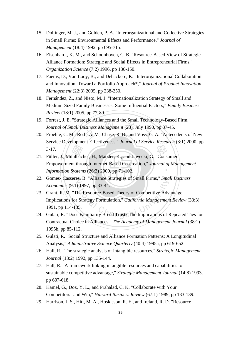- 15. Dollinger, M. J., and Golden, P. A. "Interorganizational and Collective Strategies in Small Firms: Environmental Effects and Performance," *Journal of Management* (18:4) 1992, pp 695-715.
- 16. Eisenhardt, K. M., and Schoonhoven, C. B. "Resource-Based View of Strategic Alliance Formation: Strategic and Social Effects in Entrepreneurial Firms," *Organization Science* (7:2) 1996, pp 136-150.
- 17. Faems, D., Van Looy, B., and Debackere, K. "Interorganizational Collaboration and Innovation: Toward a Portfolio Approach\*," *Journal of Product Innovation Management* (22:3) 2005, pp 238-250.
- 18. Fernández, Z., and Nieto, M. J. "Internationalization Strategy of Small and Medium-Sized Family Businesses: Some Influential Factors," *Family Business Review* (18:1) 2005, pp 77-89.
- egic Alliances and the Small Techno<br>*usiness Management* (28), July 1990,<br>h, A. V., Chase, R. B., and Voss, C. 19. Forrest, J. E. "Strategic Alliances and the Small Technology-Based Firm," *Journal of Small Business Management* (28), July 1990, pp 37-45.
- 20. Froehle, C. M., Roth, A. V., Chase, R. B., and Voss, C. A. "Antecedents of New Service Development Effectiveness," *Journal of Service Research* (3:1) 2000, pp  $3-17.$
- ‧*Information Systems* (26:3) 2009, pp 71-102. 3-17.<br>
21. Füller, J., Mühlbacher, H., Matzler, K., and Jawecki, G. "Consumer<br>
Empowerment through Internet-Based Co-creation," Journal of Mar<br>
Information Systems (26:3) 2009, pp 71-102. ‧ Empowerment through Internet-Based Co-creation," *Journal of Management*
- 22. Gomes- Casseres, B. "Alliance Strategies of Small Firms," *Small Business Economics* (9:1) 1997, pp 33-44.
- Economics (9:1) 1997, pp 33-44.<br>
23. Grant, R. M. "The Resource-Based Theory of Competitive Advantage:<br>
Implications for Strategy Formulation," California Management Review (33:3),<br>
1991, pp 114-135.<br>
24. Gulati, R. "Does 23. Grant, R. M. "The Resource-Based Theory of Competitive Advantage: Implications for Strategy Formulation," *California Management Review* (33:3), 1991, pp 114-135.
- Contractual Choice in Alliances," *The Academy of Management Journal* (38:1) 1995b, pp 85-112.
- 25. Gulati, R. "Social Structure and Alliance Formation Patterns: A Longitudinal Analysis," *Administrative Science Quarterly* (40:4) 1995a, pp 619-652.
- 26. Hall, R. "The strategic analysis of intangible resources," *Strategic Management Journal* (13:2) 1992, pp 135-144.
- 27. Hall, R. "A framework linking intangible resources and capabilities to sustainable competitive advantage," *Strategic Management Journal* (14:8) 1993, pp 607-618.
- 28. Hamel, G., Doz, Y. L., and Prahalad, C. K. "Collaborate with Your Competitors--and Win," *Harvard Business Review* (67:1) 1989, pp 133-139.
- 29. Harrison, J. S., Hitt, M. A., Hoskisson, R. E., and Ireland, R. D. "Resource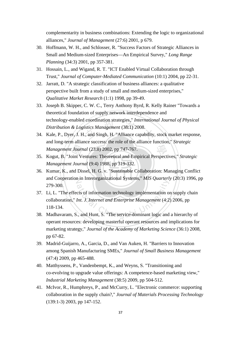complementarity in business combinations: Extending the logic to organizational alliances," *Journal of Management* (27:6) 2001, p 679.

- 30. Hoffmann, W. H., and Schlosser, R. "Success Factors of Strategic Alliances in Small and Medium-sized Enterprises—An Empirical Survey," *Long Range Planning* (34:3) 2001, pp 357-381.
- 31. Hossain, L., and Wigand, R. T. "ICT Enabled Virtual Collaboration through Trust," *Journal of Computer-Mediated Communication* (10:1) 2004, pp 22-31.
- 32. Jarratt, D. "A strategic classification of business alliances: a qualitative perspective built from a study of small and medium-sized enterprises," *Qualitative Market Research* (1:1) 1998, pp 39-49.
- technology-enabled coordination strategies," *International Journal of Physical*<br>Distribution & Logistics Management (38:1) 2008.<br>34. Kale, P., Dyer, J. H., and Singh, H. "Alliance capability, stock market response, 33. Joseph B. Skipper, C. W. C., Terry Anthony Byrd, R. Kelly Rainer "Towards a theoretical foundation of supply network interdependence and technology-enabled coordination strategies," *International Journal of Physical Distribution & Logistics Management* (38:1) 2008.
- and long-term alliance success: the role of the alliance function," *Strategic Management Journal* (23:8) 2002, pp 747-767.
- Management Journal (23:8) 2002, pp 747-767.<br>
35. Kogut, B. "Joint Ventures: Theoretical and Empirical Perspectives," *Strategic Management Journal* (9:4) 1988, pp 319-332.<br>
36. Kumar, K., and Dissel, H. G. v. "Sustainable *Management Journal* (9:4) 1988, pp 319-332.
- ‧‧ 36. Kumar, K., and Dissel, H. G. v. "Sustainable Collaboration: Managing Conflict and Cooperation in Interorganizational Systems," *MIS Quarterly* (20:3) 1996, pp 279-300.
- ational Chengeline, and Summary and Hunter<br>and Enterprise Management (4:2<br>ation of the University Management (4:2<br>ation University Management (4:2<br>ation Hunter, S. "The service-dominant logic and 37. Li, L. "The effects of information technology implementation on supply chain collaboration," *Int. J. Internet and Enterprise Management* (4:2) 2006, pp 118-134.
- 38. Madhavaram, S., and Hunt, S. "The service-dominant logic and a hierarchy of operant resources: developing masterful operant resources and implications for marketing strategy," *Journal of the Academy of Marketing Science* (36:1) 2008, pp 67-82.
- 39. Madrid-Guijarro, A., Garcia, D., and Van Auken, H. "Barriers to Innovation among Spanish Manufacturing SMEs," *Journal of Small Business Management* (47:4) 2009, pp 465-488.
- 40. Matthyssens, P., Vandenbempt, K., and Weyns, S. "Transitioning and co-evolving to upgrade value offerings: A competence-based marketing view," *Industrial Marketing Management* (38:5) 2009, pp 504-512.
- 41. McIvor, R., Humphreys, P., and McCurry, L. "Electronic commerce: supporting collaboration in the supply chain?," *Journal of Materials Processing Technology* (139:1-3) 2003, pp 147-152.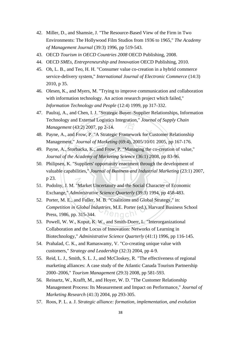- 42. Miller, D., and Shamsie, J. "The Resource-Based View of the Firm in Two Environments: The Hollywood Film Studios from 1936 to 1965," *The Academy of Management Journal* (39:3) 1996, pp 519-543.
- 43. OECD *Tourism in OECD Countries 2008* OECD Publishing, 2008.
- 44. OECD *SMEs, Entrepreneurship and Innovation* OECD Publishing, 2010.
- 45. Oh, L. B., and Teo, H. H. "Consumer value co-creation in a hybrid commerce service-delivery system," *International Journal of Electronic Commerce* (14:3) 2010, p 35.
- 46. Olesen, K., and Myers, M. "Trying to improve communication and collaboration with information technology. An action research project which failed," *Information Technology and People* (12:4) 1999, pp 317-332.
- Technology and External Logistics Integration," Journal of Supply Chain<br>Management (43:2) 2007, pp 2-14.<br>48. Payne, A., and Frow, P. "A Strategic Framework for Customer Relationship 47. Paulraj, A., and Chen, I. J. "Strategic Buyer–Supplier Relationships, Information Technology and External Logistics Integration," *Journal of Supply Chain Management* (43:2) 2007, pp 2-14.
- Management," *Journal of Marketing* (69:4), 2005/10/01 2005, pp 167-176.
- 49. Payne, A., Storbacka, K., and Frow, P. "Managing the co-creation of value," *Journal of the Academy of Marketing Science* (36:1) 2008, pp 83-96.
- ‧orbacl<br>e Acae<br>"Sup<sub>l</sub><br>abilitie ‧ valuable capabilities," *Journal of Business and Industrial Marketing* (23:1) 2007, 50. Philipsen, K. "Suppliers' opportunity enactment through the development of p 23.
- 51. Podolny, J. M. "Market Uncertainty and the Social Character of Economic Exchange," *Administrative Science Quarterly* (39:3) 1994, pp 458-483.
- "Market Uncertainty and the Social Character of<br> *ministrative Science Quarterly* (39:3) 1994, pp 4<br>
and Fuller, M. B. "Coalitions and Global Strategy<br> *Global Industries*, M.E. Porter (ed.), Harvard Bu<br>
2. 315-344. 52. Porter, M. E., and Fuller, M. B. "Coalitions and Global Strategy," in: *Competition in Global Industries,* M.E. Porter (ed.), Harvard Business School Press, 1986, pp. 315-344.  $\bigcap_{\alpha\in\mathbb{N}}$
- 53. Powell, W. W., Koput, K. W., and Smith-Doerr, L. "Interorganizational Collaboration and the Locus of Innovation: Networks of Learning in Biotechnology," *Administrative Science Quarterly* (41:1) 1996, pp 116-145.
- 54. Prahalad, C. K., and Ramaswamy, V. "Co-creating unique value with customers," *Strategy and Leadership* (32:3) 2004, pp 4-9.
- 55. Reid, L. J., Smith, S. L. J., and McCloskey, R. "The effectiveness of regional marketing alliances: A case study of the Atlantic Canada Tourism Partnership 2000–2006," *Tourism Management* (29:3) 2008, pp 581-593.
- 56. Reinartz, W., Krafft, M., and Hoyer, W. D. "The Customer Relationship Management Process: Its Measurement and Impact on Performance," *Journal of Marketing Research* (41:3) 2004, pp 293-305.
- 57. Roos, P. L. a. J. *Strategic alliance: formation, implementation, and evolution*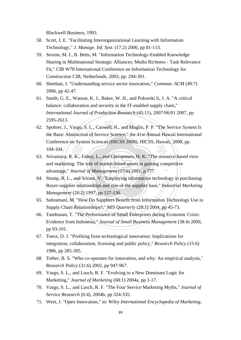Blackwell Business, 1993.

- 58. Scott, J. E. "Facilitating Interorganizational Learning with Information Technology," *J. Manage. Inf. Syst.* (17:2) 2000, pp 81-113.
- 59. Sexton, M. I., B. Betts, M. "Information Technology-Enabled Knowledge Sharing in Multinational Strategic Alliances: Media Richness - Task Relevance Fit," CIB W78 International Conference on Information Technology for Construction CIB, Netherlands, 2003, pp. 294-301.
- 60. Sheehan, J. "Understanding service sector innovation," *Commun. ACM* (49:7) 2006, pp 42-47.
- 61. Smith, G. E., Watson, K. J., Baker, W. H., and Pokorski Ii, J. A. "A critical balance: collaboration and security in the IT-enabled supply chain," *International Journal of Production Research* (45:11), 2007/06/01 2007, pp 2595-2613.
- S. L., Caswell, N., and Maglio, P. P.<br>on of Service Science," the 41st Ann 62. Spohrer, J., Vargo, S. L., Caswell, N., and Maglio, P. P. "The Service System Is the Basic Abstraction of Service Science," the 41st Annual Hawaii International Conference on System Sciences (HICSS 2008), HICSS, Hawaii, 2008, pp.  $104 - 104.$
- ‧advantage," *Journal of Management* (27:6) 2001, p 777. 104-104.<br>
63. Srivastava, R. K., Fahey, L., and Christensen, H. K. "The resource-based view<br>
and marketing: The role of market-based assets in gaining competitive<br>
advantage," Journal of Management (27:6) 2001, p 777. ‧ and marketing: The role of market-based assets in gaining competitive
- 64. Stump, R. L., and Sriram, V. "Employing information technology in purchasing: relationships and size of the supplier base," *Indu*<br>6:2) 1997, pp 127-136.<br>"How Do Suppliers Benefit from Information To-<br>elationships?," *MIS Quarterly* (28:1) 2004, pp 4<br>The Performance of Small Enterprises during E Buyer-supplier relationships and size of the supplier base," *Industrial Marketing Management* (26:2) 1997, pp 127-136.
- 65. Subramani, M. "How Do Suppliers Benefit from Information Technology Use in Supply Chain Relationships?," *MIS Quarterly* (28:1) 2004, pp 45-73.
- 66. Tambunan, T. "The Performance of Small Enterprises during Economic Crisis: Evidence from Indonesia," *Journal of Small Business Management* (38:4) 2000, pp 93-101.
- 67. Teece, D. J. "Profiting from technological innovation: Implications for integration, collaboration, licensing and public policy," *Research Policy* (15:6) 1986, pp 285-305.
- 68. Tether, B. S. "Who co-operates for innovation, and why: An empirical analysis," *Research Policy* (31:6) 2002, pp 947-967.
- 69. Vargo, S. L., and Lusch, R. F. "Evolving to a New Dominant Logic for Marketing," *Journal of Marketing* (68:1) 2004a, pp 1-17.
- 70. Vargo, S. L., and Lusch, R. F. "The Four Service Marketing Myths," *Journal of Service Research* (6:4), 2004b, pp 324-335.
- 71. West, J. "Open Innovation," in: *Wiley International Encyclopedia of Marketing*,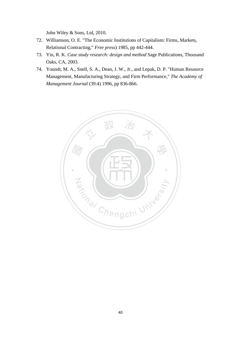John Wiley & Sons, Ltd, 2010.

- 72. Williamson, O. E. "The Economic Institutions of Capitalism: Firms, Markets, Relational Contracting," *Free press*) 1985, pp 442-444.
- 73. Yin, R. K. *Case study research: design and method* Sage Publications, Thousand Oaks, CA, 2003.
- 74. Youndt, M. A., Snell, S. A., Dean, J. W., Jr., and Lepak, D. P. "Human Resource Management, Manufacturing Strategy, and Firm Performance," *The Academy of Management Journal* (39:4) 1996, pp 836-866.

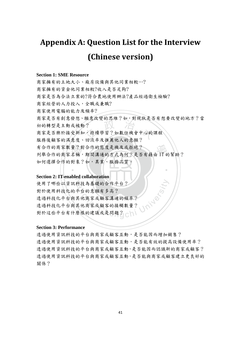# **Appendix A: Question List for the Interview (Chinese version)**

#### **Section 1: SME Resource**

有合作的商家數量?對合作的態度是機及或拒絕?<br>列舉合作的商家名稱,期間溝通的方式為何?是否才<br>如何選擇合作的對象?如,異業、服務品質。 , ?<br>, ?<br>, , 持續學習 ? 如數位機會中心的言 有合作的商家數量?對合作的態度是機及或拒絕?<br>列舉合作的商家名稱,期間溝通的方式為何?是否有藉由 IT 的幫助? 商家擁有的土地大小、廠房設備與其他同業相較…? 商家擁有的資金他同業相較?收入是否足夠? 商家是否為合法立案的?符合農地使用辦法?產品經過衛生檢驗? 商家經營的人力投入,全職或兼職? 商家使用電腦的能力及頻率? 商家是否有創意發想、願意改變的思維?如,對現狀是否有想要改變的地方?當 初的轉型是主動或被動? 商家是否樂於接受新知,持續學習?如數位機會中心的課程 服務後顧客的滿意度、回流率及推薦他人的意願? 如何選擇合作的對象?如,異業、服務品質。

‧

#### **Section 2: IT-enabled collaboration**

N 使用了哪些以資訊科技為基礎的合作平台? 科技為基礎的合作平台?<br>平台的意願有多高?<br>其他商家或顧客溝通的頻率?<br>其他商家或顧客的接觸數量?<br><sup>雙樣的建議或是問題?</sup> <br><sup>變樣的建議或是問題?</sup> 對於使用科技化的平台的意願有多高? 透過科技化平台與其他商家或顧客溝通的頻率? 透過科技化平台與其他商家或顧客的接觸數量? 對於這些平台有什麼樣的建議或是問題?

#### **Section 3: Performance**

透過使用資訊科技的平台與商家或顧客互動,是否能因而增加銷售? 透過使用資訊科技的平台與商家或顧客互動,是否能有效的提高設備使用率? 透過使用資訊科技的平台與商家或顧客互動,是否能因而認識新的商家或顧客? 透過使用資訊科技的平台與商家或顧客互動,是否能與商家或顧客建立更良好的 關係?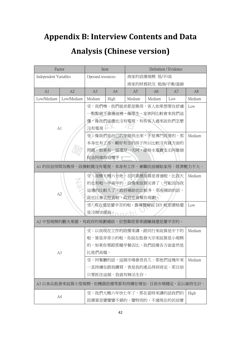# **Appendix B: Interview Contents and Data**

# **Analysis (Chinese version)**

|                       | Factor                                       |                             | Item                               |                          | Definition / Evidence |     |                |  |
|-----------------------|----------------------------------------------|-----------------------------|------------------------------------|--------------------------|-----------------------|-----|----------------|--|
| Independent Variables |                                              |                             | Operand resources<br>商家的設備規模 低/平/高 |                          |                       |     |                |  |
|                       |                                              |                             |                                    |                          | 商家的財務狀況 勉強/平衡/盈餘      |     |                |  |
| A1                    | A2                                           | A <sub>3</sub>              | A <sup>4</sup>                     | A5                       | A <sub>6</sub>        | A7  | A <sub>8</sub> |  |
| Low/Medium            | Low/Medium                                   | Medium                      | High                               | Medium                   | Medium                | Low | Medium         |  |
|                       |                                              |                             |                                    | 受:我們噢,我們就差都是雅房,客人如果想要住舒適 |                       |     | Low            |  |
|                       |                                              |                             | 一點點就不會選這裡,像學生、家族阿比較會來我們這           |                          |                       |     |                |  |
|                       |                                              |                             |                                    | 邊,像我們這邊也沒有電視,有些客人過來說你們怎麼 |                       |     |                |  |
|                       | A1                                           | 沒有電視。                       |                                    |                          |                       |     |                |  |
|                       |                                              |                             |                                    | 受;像我們是自己的家提供出來,不是專門經營的,那 |                       |     | Medium         |  |
|                       |                                              |                             |                                    | 本身也有工作,剛好有空的房子所以比較沒有錢方面的 |                       |     |                |  |
|                       |                                              |                             |                                    | 問題。如果有一個禮拜一天阿,維持水電費支出阿繳個 |                       |     |                |  |
|                       |                                              | 稅金阿維修這樣子。                   |                                    |                          |                       |     |                |  |
|                       | Al 的民宿房間為雅房,設備較簡沒有電視。本身有工作,兼職民宿補貼家用,經濟壓力不大。  |                             |                                    |                          |                       |     |                |  |
|                       |                                              |                             |                                    | 受:面積大概六分地,在同業裡面算是普通啦,比我大 |                       |     | Medium         |  |
|                       | 的也有啦一甲兩甲的。設備來說算完善了,可能因為我                     |                             |                                    |                          |                       |     |                |  |
|                       |                                              | 這邊的比較久了,政府補助也比較多,那有補助的話,    |                                    |                          |                       |     |                |  |
|                       | A2                                           | 我也比會去投資啦,政府也會幫你規劃。          |                                    |                          |                       |     |                |  |
|                       |                                              | 受:現在還是蠻辛苦的啦,靠導覽解說 DIY 啦那價格還 |                                    |                          |                       |     | Low            |  |
|                       |                                              | 是沒辦法提高。                     |                                    |                          |                       |     |                |  |
|                       | A2 中型規模的觀光果園,有政府的規劃補助,但想靠經營果園賺錢還是蠻辛苦的。       |                             |                                    |                          |                       |     |                |  |
|                       |                                              |                             |                                    | 受:以我現在工作的設備來講,跟同行來說算是中下的 |                       |     | Medium         |  |
|                       | 啦,算是非常小的啦,你說在批發大宗來說算是小規模                     |                             |                                    |                          |                       |     |                |  |
|                       | 的,如果你要跟那種早餐店比,我們設備各方面當然是                     |                             |                                    |                          |                       |     |                |  |
|                       | A <sub>3</sub>                               | 比他們高檔。                      |                                    |                          |                       |     |                |  |
|                       |                                              | 受:阿餐廳的話,這個市場會很長久。那他們這幾年來    |                                    |                          |                       |     | Medium         |  |
|                       |                                              | 一直持續在跟我購買,表是我的產品得到肯定。那目前    |                                    |                          |                       |     |                |  |
|                       |                                              | 只要抓住這個,我就有辦法生存。             |                                    |                          |                       |     |                |  |
|                       | A3 以食品批發來說算小型規模,但機器設備等都有持續在增加。目前市場穩定,足以維持生計。 |                             |                                    |                          |                       |     |                |  |
|                       |                                              |                             |                                    | 受:我們大概六年快七年了,那在當時來講的話我們的 |                       |     | High           |  |
| A4                    |                                              | 設備算是蠻蠻蠻不錯的、蠻特別的,不過現在的民宿實    |                                    |                          |                       |     |                |  |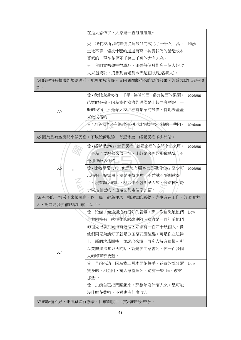|                  | 在是太恐怖了,大家錢一直砸砸砸砸…                           |        |
|------------------|---------------------------------------------|--------|
|                  | 受:我們家所以的設備從建設到完成花了一千八百萬,                    | High   |
|                  | 土地不算,棉被什麼的通通買齊…其實我們的營造成本                    |        |
|                  | 算低的,現在花個兩千萬三千萬的大有人在。                        |        |
|                  | 受:我們當初想得很單純,如果每個月能多一個人的收                    |        |
|                  | 入來還貸款,沒想到會走到今天這個狀況(名氣大)。                    |        |
|                  | A4 的民宿有整體的規劃設計,地理環境良好。又因偶像劇帶來的宣傳效果,經營成效已超乎預 |        |
| 期。               |                                             |        |
|                  | 受:我們這邊大概一千平,包括前面、還有後面的果園,                   | Medium |
|                  | 芭樂跟金棗。因為我們這邊的設備是比較居家型的,一                    |        |
| A5               | 般的民宿,不是像人家那種有豪華的設備,特地去蓋蓋                    |        |
|                  | 來做民宿的                                       |        |
|                  | 受:因為我老公有退休金,那我們就是多少補貼一些阿。                   | Medium |
|                  | A5 因為是有空房間來做民宿,不以設備取勝。有退休金,經營民宿多少補貼。        |        |
|                  | 受: 經營理念啦, 就是民宿, 就是家裡的空間拿出來用,                | Medium |
|                  | 不是為了要經營來蓋一棟,比較是家裡的那種感覺,不                    |        |
|                  | 是那種飯店化的                                     |        |
| A6               | 受:比較平常心啦,但是沒有顧客也是要煩惱啦!至少可                   | Medium |
|                  | 以補貼一點家用,還是用得到啦,不然就不要開就好                     |        |
|                  | 了。沒有請人的話,壓力也不會那麼大啦,像這種…房                    |        |
|                  | 子就是自己的,還是回到兩個字民宿。                           |        |
|                  | A6 有多的一棟房子來做民宿,以"民"宿為理念,強調家的感覺。先生有在工作,經濟壓力不 |        |
| 大,認為能多少補貼家用就可以了。 |                                             |        |
|                  | 受:設備…像這邊沒有很好的展場,那…像這塊地他們                    | Low    |
|                  | 是共同持有,就很難修繕改建阿…這邊是一百年前他們                    |        |
|                  | 的祖先很多共同持有這個,好像有一百四十幾個人,像                    |        |
|                  | 他們兩兄弟講好了就是分玉蘭花園這邊,可是你在法律                    |        |
|                  | 上,那個地籍圖噢,你調出來還一百多人持有這樣…所                    |        |
|                  | 以要興建這些東西的話,就是要同意書阿,你一百多個                    |        |
| A7               | 人的印章都要蓋。                                    |        |
|                  | 受:目前來講,因為我三月才開始接手,花費的部分還                    | Low    |
|                  | 蠻多的,租金阿、請人家整理阿,還有一些 dm、教材                   |        |
|                  | 那些…                                         |        |
|                  | 受:以前自己把門關起來,那整年沒什麼人來,是可能                    |        |
|                  | 沒什麼花費啦,不過也沒什麼收入                             |        |
|                  | A7的設備不好,也很難進行修繕。目前剛接手,支出的部分較多。              |        |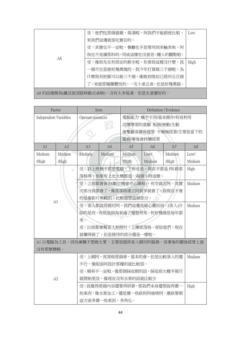|                                      | 受:他們吃那個感覺、裝潢啦,阿我們不能跟他比啦,  | Low  |  |
|--------------------------------------|---------------------------|------|--|
| A8                                   | 來我們這邊就是吃實在的。              |      |  |
|                                      | 受:其實也不一定啦,餐廳也不是要用到美輪美奐,阿  |      |  |
|                                      | 我也不是讀那科的,用成這樣也沒意思,隨人的觀點啦。 |      |  |
|                                      | 受:像我先生有固定的薪水啦,你看我這樣沒什麼,我  | High |  |
|                                      | 一個月也是做好幾萬塊的。我今年打算做三千個啦,為  |      |  |
|                                      | 什麼我有把握可以做三千個,像做到現在已經四五百個  |      |  |
|                                      | 了,來就那種團體性的,一次十桌五桌,也是好幾萬餒。 |      |  |
| A8 的設備簡易(鐵皮屋頂搭移動式桌椅),沒有太多裝潢,但是生意蠻好的。 |                           |      |  |

 國 <sup>立</sup> <sup>政</sup> <sup>治</sup> <sup>大</sup> 學 受:我上班幾乎都是電腦,下班也是,現在不都是 FB 跟部 N 受:之前都會參加(數位機會中心課程),有空就去阿,其實 受:之前都會參加(數位機會中心課程),有空就去阿大部分我都會了,像部落格建立阿我早就會了,我現<br><br>約是像影片剪輯的,比較想學這個部分。<br>受:客人都說很親切阿,我們這邊是做心靈民宿。(<br>紹的是有,有些是因為來過了還想再來,有好幾個是 Factor Item Item Definition / Evidence Independent Variables | Operant resources | 電腦能力 幾乎不用/基本操作/有效利用 改變學習的意願 拒絕/被動/主動 維繫顧客關係經營 不積極經營/主要是當下的 服務/事後會持續經營 A1 | A2 | A3 | A4 | A5 | A6 | A7 | A8 Medium /High Medium /High Medium Medium Medium /High Low/ Medium Medium /High Low/ Medium A1 落格嗎,如果有上也大概都是一兩個小時這樣。 High 大部分我都會了,像部落格建立阿我早就會了,我現在不會 的是像影片剪輯的,比較想學這個部分。 2 Medium 受:客人都說很親切阿,我們這邊是做心靈民宿。(客人)介 紹的是有,有些是因為來過了還想再來,有好幾個是每年都 來。 受:以前都會幫客人拍照片,上傳部落格、寄給他們,現在 就懶得做了,但是接待的部分還是一樣啦。 Medium A1 以電腦為工具,因為兼職不想做太累,主要是提供客人親切的服務,而事後的關係經營上就 沒有那麼積極。 A2 受:上網阿、部落格那個會,基本的會,但是比較深入的還 不行,像版面阿設計那種的就比較弱。 受:頻率不一定啦,像那個採收期的話,採收前大概半個月 就開始更改,像現在沒有水果的話就比較少 Medium 受:我覺得那個內容還要再研發,那我們本身還想說再賣一 些東西,像水果加工,還是賣一些飲料阿咖啡阿,應該要朝 這方面多賣一些東西,多角化。 High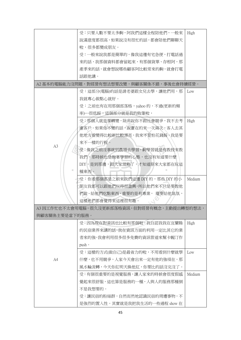|                | 受:只要人數不要太多齁,阿我們這樣全程陪他們,一般來                   | High   |
|----------------|----------------------------------------------|--------|
|                | 說滿意度都很高,如果說沒有很忙的話,都會陪他們聊聊天                   |        |
|                | 啦,很多都變成朋友。                                   |        |
|                | 受:一般來說我都是簡單的,像我這邊有宅急便,打電話過                   |        |
|                | 來的話,我那個資料都會留起來,有那個貨單、存根阿,那                   |        |
|                | 產季來的話,就會想說哪些顧客阿比較常來的齁,就會打電                   |        |
|                | 話跟他講。                                        |        |
|                | A2 基本的電腦能力沒問題,對經營有想法想要改變,與顧客關係不錯,事後也會持續經營。   |        |
|                | 受:這部分(電腦)的話是請老婆跟女兒去學,讓他們用,那                  | Low    |
|                | 我就專心做點心就好。                                   |        |
|                | 受:之前也有在用那個部落格,yahoo 的,不過(更新的頻                |        |
|                | 率)…很低餒,這個部分就是我的敗筆啦,                          |        |
|                | 受;那個人就是要轉變,除非說你不跟社會競爭,我不去考                   | High   |
|                | 慮客戶。如果你不變的話,說實在的來一次兩次,客人去其                   |        |
|                | 他地方看變得比較新比較漂亮,我來不是怕花錢餒、我是要                   |        |
|                | 來不一樣的行程。                                     |        |
| A <sub>3</sub> | 受:像我之前沒事就到農場去學習,齁學習就是有教授來教                   |        |
|                | 我們,那時候也是抱著學習的心態,也沒有知道要什麼                     |        |
|                | DIY, 是到那邊, 跟大家混熟了, 才知道原來大家都在玩這               |        |
| ш              | 種東西。                                         |        |
|                | 受:你看那個都是之前來我們這邊 DIY 的,那些 DIY 的小              | Medium |
|                | 朋友我都可以跟他們玩得很盡興,所以他們來不只是要教他                   |        |
|                | 們做、給他們吃點東西, 重要的是有專業, 還要給他氣氛,                 |        |
|                | 這樣他們都會覺得來這裡很有趣。                              |        |
|                | A3 因工作忙也不太會用電腦,很久沒更新部落格資訊,但對經營有概念,主動提出轉型的想法, |        |
| 與顧客關係主要是當下的服務。 |                                              |        |
|                | 受:因為現在對資訊也比較有那個啦,我自認我我在宜蘭縣                   | High   |
|                | 的民宿業界來講的話,我在資訊方面的利用一定比其它的業                   |        |
|                | 者來的強,我會利用很多很多免費的資訊管道來幫卡幄汀作                   |        |
|                | push $\circ$                                 |        |
|                | 受:這樣的方式(做自己)是最省力的啦,不用看到什麼就學                  | Low    |
| AA             | 什麼,也不用競爭,人家今天會出來一定有他的強項在,那                   |        |
|                | 風水輪流轉,今天你紅明天換他紅,你要比的話沒完沒了。                   |        |
|                | 受:有個很重要的是視覺服務,讓人家來的時候會很度假感                   | Medium |
|                | 覺起來很舒服,這也算是服務的一種,人與人的服務那種倒                   |        |
|                | 不是我想要的。                                      |        |
|                | 受:讓民宿的粉絲群,自然而然地認識民宿的周遭事物,不                   |        |
|                | 是強烈的置入性。其實就是我把我生活的一些過程 show 在                |        |
|                |                                              |        |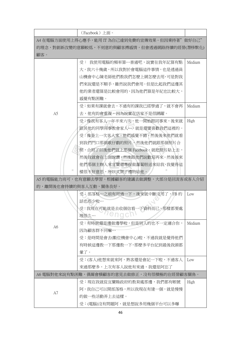|                | (Facebook) 上面。                                 |        |
|----------------|------------------------------------------------|--------|
|                | A4 在電腦方面使用上得心應手,能用 IT 為自己達到免費的宣傳效果。但因秉持著"做好自己" |        |
|                | 的理念,對創新改變的意願較低,不刻意的與顧客搏感情,但會透過網路持續的經營(潛移默化)    |        |
| 顧客。            |                                                |        |
|                | 受:我使用電腦的頻率算…普通吧,說實在我年記算有點                      | Medium |
|                | 大,我六十幾歳,所以我對於會電腦這件事情,也是透過員                     |        |
|                | 山機會中心陳老師他們教我們怎麼上網怎麼去用,可是對我                     |        |
|                | 們來說還是不順手,雖然說我們會用。但是比起我們這邊其                     |        |
|                | 他的業者還算是比較會用的,因為他們算是年紀也比較大,                     |        |
|                | 感覺有點困難。                                        |        |
|                | 受:如果有課就會去,不過有的課我已經學過了,就不會再                     | Medium |
| A5             | 去,他有的會重複,因為說實在店家不是很踴躍。                         |        |
|                | 受;像我有客人一年半來六次,他一開始跟同事來,後來就                     | High   |
|                | 跟其他的同學同事教會家人…,就是還蠻喜歡我們這裡的。                     |        |
|                | 受:像是上一次客人來,他們感覺不錯,然後後來他們就看                     |        |
|                | 到我們門口那個歌仔戲的照片,然後他們就跟那個照片合                      |        |
|                | 照,合照了以後他們就上那個 Facebook,就把照片貼上去,                |        |
|                | 然後我就會在上面說讚,然後跟他們說歡迎再來。然後後來                     |        |
|                | 他們那個主辦人來宜蘭還專程做蘿蔔糕送來給我,我覺得這                     |        |
|                | 樣很不好意思,所以又買了禮物給他。                              |        |
|                | A5 的電腦能力尚可,也有意願去學習、根據顧客的建議去做調整,大部分是回流客或客人介紹    |        |
|                | 的,離開後也會持續的與客人互動,關係良好。                          |        |
|                | 受:部落格…之前有用過一下,後來就中斷沒用了,FB的                     | Low    |
|                | 話也很少啦…                                         |        |
|                | 受:我現在可能就是去收個信看一下資料而已,那樣都要處                     |        |
|                | ' <sup>n</sup> engchl<br>理很久…                  |        |
|                | 受:有時候還是邊做邊學啦,但是別人的也不一定適合你,                     | Medium |
| A <sub>6</sub> | 因為顧客群不同嘛…                                      |        |
|                | 受:是時間是會去(數位機會中心)啦,不過我就是覺得他們                    |        |
|                | 有時候這邊教一下那邊教一下,那麼多平台記到最後我頭都                     |        |
|                | 暈了。                                            |        |
|                | 受:(客人)他想來就來阿,熟客還是會記一下啦,不過客人                    | Low    |
|                | 來過那麼多,上次有客人說他有來過,我還是阿忘了                        |        |
|                | A6 電腦對他來說有點困難,偶爾會橫顧客的意見去做修正,沒有很積極的在經營顧客關係。     |        |
|                | 受:現在我就從宜蘭縣政府的教育處那邊,我們都有帳號                      | High   |
|                | 阿,我自己可以開部落格,所以我現在有建一個,就是慢慢                     |        |
| A7             | 的做一些活動弄上去這樣。                                   |        |
|                | 受:(電腦)沒有問題阿,就是想說多用幾個平台可以多曝                     |        |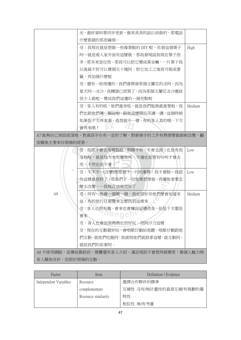|               | 光,最好資料要同步更新,像美美美的話以前做的,那電話                  |        |
|---------------|---------------------------------------------|--------|
|               | 什麼都錯的那很麻煩。                                  |        |
|               | 受:我現在就是想做一些像葉脈的 DIY 啦,你看這個葉子                | High   |
|               | 阿…就是看人家外面有這樣做,那我發現說我現在葉子很                   |        |
|               | 多,那本來是垃圾,那我可以把它變成黃金嘛,一片葉子我                  |        |
|               | 以後搞不好可以賣個五十塊阿,把它加工之後我可做成書                   |        |
|               | 籤,再加個什麼框                                    |        |
|               | 受:還有一些周邊的,我們會開發那個玉蘭花的冰阿,因為                  |        |
|               | 夏天阿…冰沙,我機器已經買了,因為那個玉蘭花冰沙應該                  |        |
|               | 很少人做啦,變成我們這邊的一個亮點啦                          |        |
|               | 受:客人有的吼,他們進來吼,就是我們服務最重要啦,我                  | Medium |
|               | 們也跟他們導…解說啦,跟他這樣開玩笑講一講,這個時候                  |        |
|               | 如果你下次再來看,造型就不一樣,有的客人真的哦,下次                  |        |
|               | 會再來哦!                                       |        |
|               | A7 能夠自己架設部落格,對資訊平台有一定的了解。對新接手的工作有熱情要做創新改變。顧 |        |
| 客關係主要來自現場的經營。 |                                             |        |
|               | 受:我很不會去用電腦餒,眼睛不好,不會去用。也是有部                  | Low    |
|               | 落格啦,就是我大女兒幫我用,不過也是要有吩咐才會去                   |        |
|               | 用,不然也是不會。                                   |        |
| ш             | 受:不不不…(改變)那是我下一代的事情,我不會餒…我認                 | Low    |
|               | 為這樣就很好了,那我們下一代如果想要做,再讓他看要怎                  |        |
|               |                                             |        |
|               | 麼去改變,…我現在這就很好了                              |        |
| A8            | 受:阿有一些會一個報一個,我也很好奇他們麼會知道來                   | Medium |
|               | 這,有的旅行社遊覽車怎麼找到這裡來。                          |        |
|               | 受:客人也很有趣,會來也會嫌說這邊很臭,但是下次還是                  |        |
|               | hengch!<br>會來                               |        |
|               | 受:客人也會說張媽媽也很好玩、很阿沙力這樣                       |        |
|               | 受:現在的互動最好玩,會唱歌仔戲給他聽,唱歌仔戲跟他                  |        |
|               | 們互動。就他們吃飽阿,我就唱他們就鼓掌這樣,就互動阿,                 |        |
|               | 就說我們的故事阿。                                   |        |
|               | A8 不使用網路,宣傳依靠政府、媒體還有客人介紹,滿足現狀不會想再做變更,靠個人魅力與 |        |

| Factor                | Item                | Definition / Evidence  |
|-----------------------|---------------------|------------------------|
| Independent Variables | Resource            | 選擇合作夥伴的標準              |
|                       | complementary       | 互補性 沒有/無計畫性的資源互補/有規劃的獨 |
|                       | Resource similarity | 特性                     |
|                       |                     | 相似性 無/有考慮              |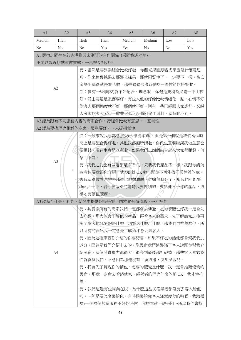| A1                                 | A2             | A <sub>3</sub>                      | A <sup>4</sup> | A <sub>5</sub> | A <sub>6</sub>                         | A7             | A <sub>8</sub> |  |
|------------------------------------|----------------|-------------------------------------|----------------|----------------|----------------------------------------|----------------|----------------|--|
| Medium                             | High           | High                                | High           | Medium         | Medium                                 | Low            | Low            |  |
| N <sub>o</sub>                     | N <sub>o</sub> | N <sub>o</sub>                      | Yes            | Yes            | N <sub>o</sub>                         | N <sub>o</sub> | Yes            |  |
|                                    |                | A1 民宿之間存在若客滿推薦去別間的合作關係 (房間資源互補),    |                |                |                                        |                |                |  |
|                                    |                | 主要以臨近的點來做推薦。→未提及相似性                 |                |                |                                        |                |                |  |
|                                    |                |                                     |                |                | 受:當然是要異業結合比較好啦,你觀光果園跟觀光果園沒什麼意思         |                |                |  |
|                                    |                |                                     |                |                | 啦,你來這邊採果去那邊又採果,那就同質性了,一定要不一樣。像去        |                |                |  |
|                                    | A2             |                                     |                |                | 金雙生那邊就是看花啦,那張媽媽那邊就是吃一些竹筍的特餐啦。          |                |                |  |
|                                    |                |                                     |                |                | 受:像有一些(商家)就不好配合,理念啦,你還是要稍為過濾一下比較       |                |                |  |
|                                    |                |                                     |                |                | 好。最主要還是服務要好,有些人他的好像比較情緒化一點,心情不好        |                |                |  |
|                                    |                |                                     |                |                | 對客人那個態度就不好,那個就不好。阿有一些已經跟人家講好,又鹹        |                |                |  |
|                                    |                |                                     |                |                | 人家來的客人太少、收費太低,品質阿偷工減料,這個也不行。           |                |                |  |
|                                    |                | A2 認為跟有不同服務内容的商家合作,行程會比較有意思。→互補性    |                |                |                                        |                |                |  |
|                                    |                | A2 認為要找理念相近的商家、服務要好。→未提相似性          |                |                |                                        |                |                |  |
|                                    |                |                                     |                |                | 受:一般來說我事都會接受(合作提案)啦,但是第一個就是我們兩個時       |                |                |  |
|                                    |                |                                     |                |                | 間上是要配合得好啦,其他我都無所謂啦。你做生意要賺錢我做生意也        |                |                |  |
|                                    |                |                                     |                |                | 要賺錢,現在生意是互利啦。如果我們三四個結合起來大家都賺錢,何        |                |                |  |
| A <sub>3</sub>                     |                | 樂而不為。                               |                |                |                                        |                |                |  |
|                                    |                | 受:我們之前也有做過都是 DIY 的,只要我們產品不一樣,我跟你講消  |                |                |                                        |                |                |  |
|                                    | m              | 費者只要我跟你介紹,他 OK 就 OK 啦,那你不可能找同樣性質的嘛, |                |                |                                        |                |                |  |
|                                    |                | 去我這邊做蔥油餅去那邊也做蔥油餅,幹嘛無聊死了,那我們可能要      |                |                |                                        |                |                |  |
|                                    |                | change 一下,看你要做別的還是我要做別的,要給他不一樣的產品,這 |                |                |                                        |                |                |  |
|                                    |                | 樣才有價值感嘛。                            |                |                |                                        |                |                |  |
| A3 認為合作是互利的,結盟中提供的服務要不同才會有價值感。→互補性 |                |                                     |                |                |                                        |                |                |  |
|                                    |                |                                     |                |                | <b>受:其實像所有的商家我們一定都會去涉獵,吃的餐廳也好我一定會先</b> |                |                |  |
|                                    |                |                                     |                |                | 去吃過,那大概會了解他的產品,再看客人的需求,先了解商家之後再        |                |                |  |
|                                    |                | 詢問旅客他想要的是什麼,想要吃什麼玩什麼,那我們再推薦給他。所     |                |                |                                        |                |                |  |
|                                    |                | 以所有的資訊我一定會先了解過才會丟給客人。               |                |                |                                        |                |                |  |
|                                    |                | 受:因為這種東西你介紹的你要背書,如果不好吃的話他都會幫我們加     |                |                |                                        |                |                |  |
|                                    |                | 減分,因為是我們介紹出去的。像民宿我們這邊滿了客人說那你幫我介     |                |                |                                        |                |                |  |
|                                    | A4             | 紹民宿,這個其實壓力都很大,很多到最後都打破掉,那些客人喜歡我     |                |                |                                        |                |                |  |
|                                    |                |                                     |                |                | 們就喜歡我們,不會因為那邊沒有了換這邊,沒那麼容易。             |                |                |  |
|                                    |                |                                     |                |                | 受:我會先了解說你的價位、想要的感覺是什麼,我一定會推薦優質的        |                |                |  |
|                                    |                |                                     |                |                | 民宿,那我一定會去看過他家、經營者的理念什麼的都 OK,我才會推       |                |                |  |
|                                    |                | 薦。                                  |                |                |                                        |                |                |  |
|                                    |                |                                     |                |                | 受:我們這邊有些同業在說,為什麼這些民宿業者都沒有丟客人給他         |                |                |  |
|                                    |                |                                     |                |                | 啦,…阿是要怎麼丟給你,有時候丟給你客人滿意度差的時候,我敢丟        |                |                |  |
|                                    |                |                                     |                |                | 嗎?一個兩個都說服務不好的時候,我根本就不敢丟阿…所以我們會找        |                |                |  |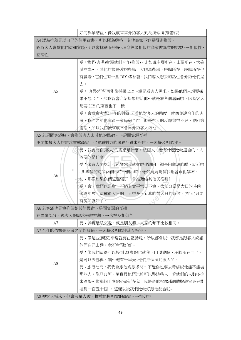|     | 好的異業結盟,像我就常常介紹客人到胡搞蝦搞(餐廳)去                  |
|-----|---------------------------------------------|
|     | A4 認為推薦是以自己的信用背書,所以極為嚴格,其他商家不容易得到推薦。        |
|     | 認為客人喜歡他們這種質感,所以會挑選服務好,理念等級相似的商家做異業的結盟。→相似性、 |
| 互補性 |                                             |
|     | 受:我們(客滿)會跟他們合作(推薦),比如說庄腳所在、山頂所在、大礁          |
|     | 溪左岸…,其他的像是波的農場、大礁溪農場、庄腳所在,庄腳所在他             |
|     | 有農場,它們也有一些 DIY 烤番薯,我們客人想去的話也會介紹他們過          |
|     | 去。                                          |
| A5  | 受:(套裝)行程可能像採果 DIY…還是看客人需求,如果他們只想要採          |
|     | 果不想 DIY,那我就會介紹採果的給他…就是看各個層面啦,因為客人           |
|     | 想要 DIY 的東西也不一樣…                             |
|     | 受:會我會考慮(合作的對象),看他對客人的態度,就像你說合作的店            |
|     | 家,我們之前也有跟一家民宿合作,但是客人的反應都很不好,會回來             |
|     | 抱怨,所以我們後來就不會再介紹客人給他                         |
|     | A5 若房間客滿時,會推薦客人去其他的民宿。→房間資源互補               |
|     | 主要根據客人的需求推薦商家,也會看對方的服務品質來評估。→未提及相似性。        |
|     | 受:我會問你(客人)的需求是什麼,幾個人,看有什麼比較適合的,大            |
|     | 概要的是什麼                                      |
|     | 受:像有人要吃紅心芭樂冰我就會跟他講阿,還是阿蘭城的醋,就近啦             |
|     | ~那零星的時間兩個小時一個小時,像張媽媽筍餐我也會跟他講阿,              |
| A6  | ·訪:那像如果你們這邊滿了,會推薦給其他民宿嗎?                    |
|     | ·受:會,我們也是會,不過其實平常日不會,大部分當是大日的時候,            |
|     | 像過年啦,這種很大日的,人很多。到真的很大日的時候,(客人)只要            |
|     | 有房間就好了。                                     |
|     | A6 若客滿也是會推薦給其他民宿→房間資源的互補                    |
|     | 在異業部分,視客人的需求來做推薦。→未提及相似性                    |
| A7  | 受:其實是私交啦,就是朋友嘛,大家的頻率比較相同。                   |
|     | A7 合作的依據是商家之間的關係。→未提及相似性或互補性。               |
|     | 受:像這些(商家)平常就有在互動啦,所以都會說…我都是跟客人說讓            |
|     | 他們自己去選,我不會預訂好。                              |
|     | 受:像我們這邊可以接到 20 桌的也就我、山頂會館、庄腳所在而已,           |
| A8  | 是可以去哪裡,噢…還有千里光~他們那個搞到很大間。                   |
|     | 受:旅行社問,我們會跟他說很多間…不過你也要去考慮說他能不能裝             |
|     | 那些人,像亞典阿、菌寶貝他們比較可以裝這些人,看他們的人數多少             |
|     | 來調整…像那個千喜點心最近在蓋,我是跟他說你那個體驗教室最好能             |
|     | 裝到一百五十個 ,這樣以後我們比較好跟他配合啦~                    |
|     | A8 視客人需求,但會考量人數,推薦規模相當的商家。→相似性              |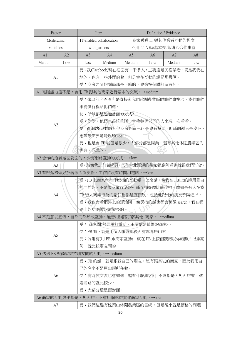|                                     | Factor                           | Item                                    |                |                                       | Definition / Evidence |        |                |
|-------------------------------------|----------------------------------|-----------------------------------------|----------------|---------------------------------------|-----------------------|--------|----------------|
|                                     | Moderating                       | IT-enabled collaboration                |                | 商家透過 IT 與其他業者互動的程度                    |                       |        |                |
|                                     | variables                        | with partners                           |                | 不用 IT 互動/基本交流/溝通合作事宜                  |                       |        |                |
| A1                                  | A2                               | A <sub>3</sub>                          | A4             | A <sub>5</sub>                        | A <sub>6</sub>        | A7     | A <sub>8</sub> |
| Medium                              | Low                              | Low                                     | Medium         | Medium                                | Low                   | Medium | Low            |
|                                     |                                  |                                         |                | 受:我(Facebook)現在裡面有一千多人,主要還是民宿業者、貨是我們在 |                       |        |                |
| A1                                  |                                  |                                         |                | 地的,也有一些外面的啦,但是會在互動的還是那幾個。             |                       |        |                |
|                                     |                                  |                                         |                | 受:商家之間的關係都是不錯的,會來按個讚阿留言阿。             |                       |        |                |
|                                     |                                  | A1 電腦能力還不錯,會用 FB 跟其他商家進行基本的交流。→medium   |                |                                       |                       |        |                |
|                                     |                                  |                                         |                | 受:像以前老爺酒店是直接來我們休閒農業區跟總幹事接洽,我們總幹       |                       |        |                |
|                                     |                                  | 事提供行程給他們選。                              |                |                                       |                       |        |                |
|                                     |                                  |                                         | 訪:所以都是透過當面的方式? |                                       |                       |        |                |
|                                     | A2                               |                                         |                | 受。對對,他們也很慎重阿,會帶整個部門的人來玩一次看看。          |                       |        |                |
|                                     |                                  |                                         |                | 受:從網站這樣看(其他商家的資訊),是會有幫助,但那個還只是皮毛,     |                       |        |                |
|                                     |                                  |                                         | 應該最主要還是現場去看。   |                                       |                       |        |                |
|                                     |                                  |                                         |                | 受:也是會 FB 啦但是很少,大部分都是同業,還有其他休閒農業區的     |                       |        |                |
|                                     |                                  | 也有,認識的。                                 |                |                                       |                       |        |                |
|                                     |                                  | A2 合作的洽談是面對面的,少有網路互動的方式。→low            |                |                                       |                       |        |                |
| A <sub>3</sub>                      |                                  |                                         |                | 受:為像我之前做網頁,也有台北那邊的幾家餐廳阿看到就跟我們訂貨。      |                       |        |                |
|                                     | A3 有部落格做好放著很久沒更新,工作忙沒有時間用電腦。→low |                                         |                |                                       |                       |        |                |
| 受:FB 上商家會有什麼樣的互動呢…怎麼講,像我在 FB 上的應用是自 |                                  |                                         |                |                                       |                       |        |                |
|                                     |                                  | 然而然的,不是很商業行為的…那互動好像比較少啦。像如果有人在我         |                |                                       |                       |        |                |
|                                     | A4                               | FB 留太商業行為的話我也都是直接砍,包括他跟他的朋友都隔絕掉。        |                |                                       |                       |        |                |
|                                     |                                  | 受:我也會看網路上的評論阿,像民宿的話也都會稍微 search,我在網     |                |                                       |                       |        |                |
|                                     |                                  | 路上的功課做的還蠻多的。                            |                |                                       |                       |        |                |
|                                     |                                  | A4 不刻意去宣傳,自然而然形成互動,能善用網路了解其他 商家。→medium |                |                                       |                       |        |                |
|                                     |                                  |                                         |                | 受:(商家間)都是用打電話,主要還是這邊的商家…              |                       |        |                |
| A5                                  |                                  | 受:FB 有,就是用個人帳號那後面有寫隱居山林,                |                |                                       |                       |        |                |
|                                     |                                  | 受:偶爾有(用 FB 跟商家互動),就在 FB 上按個讚阿說你的照片很漂亮   |                |                                       |                       |        |                |
|                                     |                                  | 阿…就比較朋友間的。                              |                |                                       |                       |        |                |
| A5 透過 FB 與商家維持朋友間的互動。→medium        |                                  |                                         |                |                                       |                       |        |                |
|                                     |                                  |                                         |                | 受: FB 的話…就是跟我自己的朋友, 沒有跟其它的商家, 因為我用自   |                       |        |                |
|                                     |                                  |                                         | 己的名字不是用山頂所在啦。  |                                       |                       |        |                |
|                                     | A <sub>6</sub>                   |                                         |                | 受:有時候交流也會知道,喔有什麼奧客阿~不過都是面對面的啦,透       |                       |        |                |
|                                     |                                  | 過網路的就比較少。                               |                |                                       |                       |        |                |
|                                     |                                  |                                         | 受:大部分還是面對面。    |                                       |                       |        |                |
|                                     |                                  | A6 商家的互動幾乎都是面對面的,不會用網路跟其他商家互動。→low      |                |                                       |                       |        |                |
| A7                                  |                                  |                                         |                | 受:我們這邊有枕頭山休閒農業區的官網,但是後來就是價格的問題,       |                       |        |                |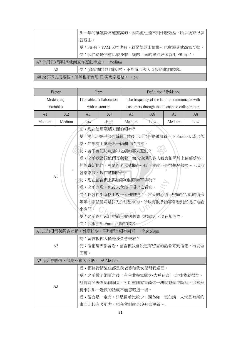|                                 | 那一年的維護費阿還蠻高的,因為他也達不到什麼效益,所以後來很多    |  |  |
|---------------------------------|------------------------------------|--|--|
|                                 | 就退出。                               |  |  |
|                                 | 受:FB 有,YAM 天空也有,就是枕頭山這邊…也會跟其他商家互動。 |  |  |
|                                 | 受:我們還是開會比較多啦,網路上面的串連好像就用 FB 而已。    |  |  |
|                                 | A7 會用 FB 等與其他商家作互動串連。→medium       |  |  |
| A8                              | 受:(商家間)都打電話啦,不然就叫客人直接跟他們聯絡         |  |  |
| A8 幾乎不去用電腦,所以也不會用 IT 與商家連絡。→low |                                    |  |  |

| Factor         |        | Item                                 |                     | Definition / Evidence                           |                |                                       |     |
|----------------|--------|--------------------------------------|---------------------|-------------------------------------------------|----------------|---------------------------------------|-----|
| Moderating     |        | IT-enabled collaboration             |                     | The frequency of the firm to communicate with   |                |                                       |     |
| Variables      |        | with customers                       |                     | customers through the IT-enabled collaboration. |                |                                       |     |
| A1             | A2     | A3                                   | A4                  | A <sub>5</sub>                                  | A <sub>6</sub> | A7                                    | A8  |
| Medium         | Medium | Low                                  | <b>High</b>         | Medium                                          | Low            | Medium                                | Low |
|                |        |                                      | 訪:您在使用電腦方面的頻率?      |                                                 |                |                                       |     |
|                |        |                                      |                     |                                                 |                | 受:我上班幾乎都是電腦,然後下班也是會偶爾看一下 Facebook 或部落 |     |
|                |        |                                      |                     | 格,如果有上就是看一兩個小時這樣。                               |                |                                       |     |
|                |        |                                      |                     | 訪:會不會使用電腦和之前的客人互動?                              |                |                                       |     |
|                |        |                                      |                     |                                                 |                | 受:之前我常跟他們互動啦,像來這邊的客人我會拍照片上傳部落格,       |     |
|                |        |                                      |                     |                                                 |                | 然後寄給他們。可是後來我就懶得…反正我就不是很想經營啦…。以前       |     |
| A1             | ш      |                                      | 會常常做,現在就懶得做。        |                                                 |                |                                       |     |
|                |        |                                      |                     | 訪:您在留言板上與顧客的回應頻率多嗎?                             |                |                                       |     |
|                |        | 受:之前有啦,但後來我幾乎很少去看它。                  |                     |                                                 |                |                                       |     |
|                |        | 受:我會在部落格上放一系列的照片、當天的心情、與顧客互動的情形      |                     |                                                 |                |                                       |     |
|                |        | 等等。像望龍埤是我先介紹出來的,所以有很多顧客會看到然後打電話      |                     |                                                 |                |                                       |     |
|                |        | 來詢問。                                 |                     |                                                 |                |                                       |     |
|                |        | 受:之前過年或什麼節日會送個賀卡給顧客,現在都沒弄。           |                     |                                                 |                |                                       |     |
|                |        |                                      | 受:我很少用 Email 跟顧客聯絡。 |                                                 |                |                                       |     |
|                |        | A1 之前很常與顧客互動,近期較少,平均而言頻率尚可。 → Medium |                     |                                                 |                |                                       |     |
|                |        |                                      | 訪:留言板你大概是多久會去看?     |                                                 |                |                                       |     |
| A2             |        |                                      |                     |                                                 |                | 受:信箱每天都會看,留言板我會設定有留言的話會寄到信箱,再去做       |     |
|                |        | 回覆。                                  |                     |                                                 |                |                                       |     |
|                |        | A2 每天會收信,偶爾與顧客互動。 → Medium           |                     |                                                 |                |                                       |     |
|                |        | 受:網路行銷這些都是我老婆和我女兒幫我處理。               |                     |                                                 |                |                                       |     |
|                |        |                                      |                     |                                                 |                | 受:之前做了網頁之後,有台北幾家顧客(大戶)來訂,之後我就很忙,      |     |
| A <sub>3</sub> |        |                                      |                     |                                                 |                | 哪有時間去看那個網頁,所以整個零售商這一塊就整個中斷掉。那當然       |     |
|                |        |                                      |                     | 將來我那一邊做的話就不能忽略這一塊。                              |                |                                       |     |
|                |        |                                      |                     |                                                 |                | 受:留言是一定有,只是目前比較少,因為你…坦白講,人就是有新的       |     |
|                |        |                                      |                     | 東西比較有吸引力,現在我們就是沒有去更新…                           |                |                                       |     |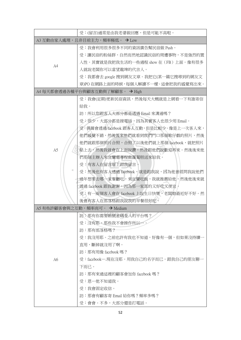|                | 受:(留言)通常是由我老婆做回應,但是可能不高啦。               |
|----------------|-----------------------------------------|
|                | A3 互動由家人處理,且非目前主力,頻率極低。 → Low           |
|                | 受:我會利用很多很多不同的資訊廣告幫民宿做 Push。             |
|                | 受:讓民宿的粉絲群,自然而然地認識民宿的周遭事物,不是強烈的置         |
|                | 入性。其實就是我把我生活的一些過程 show 在(FB)上面。像有很多     |
| A4             | 人就說老闆你可以當望龍埤的代言人。                       |
|                | 受:我都會去 google 搜到網友文章。我把它(某一篇它搜尋到的網友文    |
|                | 章)PO 在網路上面的時候,每個人解讀不一樣。這會把我的感覺寫出來。      |
|                | A4 每天都會透過各種平台與顧客互動與了解顧客。 → High         |
|                | 受:我會(定期)更新民宿資訊,然後每天大概就是上網看一下有誰寄信        |
|                | 給我。                                     |
|                | 訪:所以您跟客人大部分都是透過 Email 來溝通嗎?             |
|                | 受:很少,大部分都是接電話,因為其實客人也很少用 Email。         |
|                | 受:偶爾會透過 facebook 跟客人互動, 但是比較少。像是上一次客人來, |
|                | 他們感覺不錯,然後後來他們就看到我們門口那個歌仔戲的照片,然後         |
|                | 他們就跟那個照片合照,合照了以後他們就上那個 facebook,就把照片    |
| A <sub>5</sub> | 貼上去,然後我就會在上面說讚,然後跟他們說歡迎再來。然後後來他         |
|                | 們那個主辦人來宜蘭還專程做蘿蔔糕送來給我。                   |
|                | 受:有客人在留言版上跟我留言。                         |
| ш              | 受:然後也有客人透過 facebook,就是跟我說,因為他曾經問我說他們    |
|                | 過年想要去哪一家餐廳吃,來宜蘭吃飯,我就推薦給他,然後他後來就         |
|                | 透過 facebook 跟我謝謝,因為那一家真的又好吃又便宜。         |
|                | 受:有一兩個客人會在 facebook 上說生日快樂,老闆娘最近好不好。然   |
|                | 後會有客人在部落格跟我說我的早餐很好吃。                    |
|                | A5 有些許顧客會與之互動,頻率尚可。 → Medium            |
|                | 訪:那有你需要帳號密碼登入的平台嗎?                      |
|                | 受:沒有耶,那些我不會操作所以…。                       |
|                | 訪:那有部落格嗎?                               |
|                | 受:我沒用耶。之前也許有我也不知道,好像有一個,但如果沒持續          |
|                | 直用,斷掉就沒用了啊。                             |
|                | 訪:那有用像 facebook 嗎?                      |
| A6             | 受:facebook….現在沒耶。用我自己的名字而已。跟我自己的朋友聊-    |
|                | 下而已。                                    |
|                | 訪:那有來過這裡的顧客會加你 facebook 嗎?              |
|                | 受:恩…他不知道我。                              |
|                | 受:我會固定收信。                               |
|                | 訪:那會有顧客寄 Email 給你嗎?頻率多嗎?                |
|                | 受:會會。不多,大部分還是打電話。                       |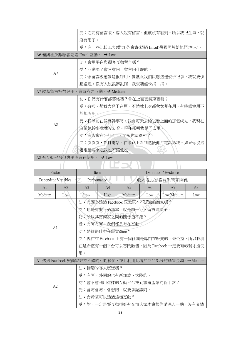|                              | 受:之前有留言版,客人說有留言,但就沒有看到。所以我很生氣,就 |                                        |  |  |  |  |
|------------------------------|---------------------------------|----------------------------------------|--|--|--|--|
|                              | 沒有用了。                           |                                        |  |  |  |  |
|                              |                                 | 受:有一些比較工夫(費力)的會寄(透過 Email)幾張照片給他們(客人)。 |  |  |  |  |
| A6 僅與極少數顧客透過 Email 互動。 → Low |                                 |                                        |  |  |  |  |
|                              | 訪:會用平台與顧客互動留言嗎?                 |                                        |  |  |  |  |
| A7                           | 受:互動嗎?會阿會阿,留言阿什麼的。              |                                        |  |  |  |  |
|                              |                                 | 受:像留言板應該是很好用,像就跟我們反應這邊蚊子很多,我就要快        |  |  |  |  |
|                              |                                 | 點處理,像有人說很髒亂阿,我就要趕快掃一掃。                 |  |  |  |  |
|                              | A7 認為留言板很好用,有時與之互動。→ Medium     |                                        |  |  |  |  |
|                              |                                 | 訪:你們有什麼部落格嗎?會在上面更新東西嗎?                 |  |  |  |  |
|                              | 受:有啦,都我大兒子在用,不然就上次都我女兒在用。有時候會用不 |                                        |  |  |  |  |
|                              | 然都沒用。                           |                                        |  |  |  |  |
| A8                           | 受,我以前在做總幹事時,我會每天去給它看上面的那個網站,我現在 |                                        |  |  |  |  |
|                              | 沒做總幹事我就沒去看。現在都叫我兒子去用。           |                                        |  |  |  |  |
|                              | 訪:有人會在(平台)上面問說你這邊…?             |                                        |  |  |  |  |
|                              | 受:沒沒沒,都打電話。在網路上看到然後他打電話給我。如果你沒透 |                                        |  |  |  |  |
|                              | 過電話要來吃我也不讓他吃。                   |                                        |  |  |  |  |
| A8 有互動平台但幾乎沒有在使用。 → Low      |                                 |                                        |  |  |  |  |
|                              |                                 |                                        |  |  |  |  |
| Factor                       | Definition / Evidence<br>Item   |                                        |  |  |  |  |

|                     | Factor<br>Item |                                       |                               | Definition / Evidence |     |                                                      |     |  |
|---------------------|----------------|---------------------------------------|-------------------------------|-----------------------|-----|------------------------------------------------------|-----|--|
| Dependent Variables |                |                                       | Performance                   | ٠<br>收入增加/顧客關係/商家關係   |     |                                                      |     |  |
| A <sub>1</sub>      | A <sub>2</sub> | A <sub>3</sub>                        | A4                            | A5                    | A6  | A7                                                   | A8  |  |
| Medium              | Low            | Low                                   | High                          | Medium                | Low | Low/Medium                                           | Low |  |
|                     |                |                                       | 訪:有因為透過 Facebook 認識原本不認識的商家嗎? |                       |     |                                                      |     |  |
|                     |                |                                       | 受:也是有啦不過基本上就是讚一下,留言這樣子。       |                       |     |                                                      |     |  |
|                     |                |                                       | 訪:所以其實商家之間的關係還不錯?             |                       |     |                                                      |     |  |
|                     |                |                                       | 受:有阿有阿,我們都是有在互動。              |                       |     |                                                      |     |  |
| A <sub>1</sub>      |                | 訪:是透過什麼在販賣商品?                         |                               |                       |     |                                                      |     |  |
|                     |                | 受:現在在 Facebook 上有一個社團是專門在販賣的,做公益,所以我現 |                               |                       |     |                                                      |     |  |
|                     |                | 在是希望有一個平台可以專門販售,因為 Facebook 一定要有帳號才能使 |                               |                       |     |                                                      |     |  |
|                     |                | 用。                                    |                               |                       |     |                                                      |     |  |
|                     |                |                                       |                               |                       |     | A1 透過 Facebook 與商家維持不錯的互動關係,並且利用此增加商品部分的銷售金額。→Medium |     |  |
|                     |                |                                       | 訪:接觸的客人廣泛嗎?                   |                       |     |                                                      |     |  |
|                     |                | 受:有阿,外國的也有新加坡、大陸的。                    |                               |                       |     |                                                      |     |  |
|                     | A2             | 訪:會不會利用這樣的互動平台找到旅遊產業的新朋友?             |                               |                       |     |                                                      |     |  |
|                     |                |                                       | 受:會阿會阿,會想阿,就要多認識阿。            |                       |     |                                                      |     |  |
|                     |                |                                       | 訪:會希望可以透過這樣互動?                |                       |     |                                                      |     |  |
|                     |                | 受:對,一定是要互動很好有交情人家才會根你講深入一點,沒有交情       |                               |                       |     |                                                      |     |  |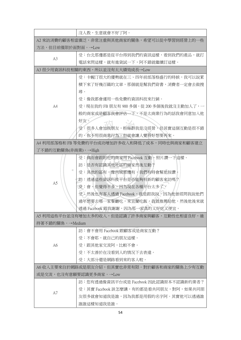|                     | 沒人教,生意就會不好了阿。                                 |  |  |  |  |
|---------------------|-----------------------------------------------|--|--|--|--|
|                     | A2 來訪消費的顧客相當廣泛,非常注重與其他商家的關係,希望可以從中學習到經營上的一些   |  |  |  |  |
| 方法,但目前僅限於面對面。→Low   |                                               |  |  |  |  |
|                     | 受:台北那邊都是從平台得到我們的資訊這樣,看到我們的產品,就打               |  |  |  |  |
| A <sub>3</sub>      | 電話來問這樣,就有進貨試一下,阿不錯就繼續訂這樣。                     |  |  |  |  |
|                     | A3 很少用資訊科技相關的東西,所以並沒有太大績效成長→Low               |  |  |  |  |
|                     | 受:卡幄汀很大的優勢就在三、四年前部落格盛行的時候,我可以說累               |  |  |  |  |
|                     | 積下來了好幾百篇的文章,那個就是幫我們背書,消費者一定會去做搜               |  |  |  |  |
|                     | 尋。                                            |  |  |  |  |
|                     | 受:像我都會運用一些免費的資訊科技來行銷。                         |  |  |  |  |
| A4                  | 受:現在我的 FB 朋友有 900 多個,從 200 多個後我就沒主動加人了,一      |  |  |  |  |
|                     | 般的商家或是顧客我會評估一下,不是太商業行為的話我會同意加入他               |  |  |  |  |
|                     | 好友。                                           |  |  |  |  |
|                     | 受:很多人會加我朋友,粉絲群我是沒經營,但其實這個互動是很不錯               |  |  |  |  |
|                     | 的,你不用很商業行為,但就會讓人覺得好想要再來。                      |  |  |  |  |
|                     | A4 利用部落格和 FB 等免費的平台成功增加許多收入和降低了成本,同時也與商家和顧客建立 |  |  |  |  |
| 了不錯的互動關係(非商業)。→High |                                               |  |  |  |  |
|                     | 受:偶而會跟附近的商家用 Facebook 互動,照片讚一下這樣。             |  |  |  |  |
|                     | 訪:是否有認識其他地區的商家然後互動?                           |  |  |  |  |
| ш                   | 受:其他的區有,像內城那邊有,我們有時會幫他按讚。                     |  |  |  |  |
| A5                  | 訪:透過這些資訊科技平台是否能夠有新的顧客來訪嗎?                     |  |  |  |  |
|                     | 受:會,但覺得不多,因為現在各種平台太多了。                        |  |  |  |  |
|                     | 受:然後也有客人透過 Facebook,就是跟我說,因為他曾經問我說他們          |  |  |  |  |
|                     | 過年想要去哪一家餐廳吃,來宜蘭吃飯,我就推薦給他,然後他後來就               |  |  |  |  |
|                     | 透過 Facebook 跟我謝謝,因為那一家真的又好吃又便宜。               |  |  |  |  |
|                     | A5 利用這些平台並沒有增加太多的收入,但是認識了許多商家與顧客,互動性也相當良好,維   |  |  |  |  |
| 持著不錯的關係。→Medium     |                                               |  |  |  |  |
|                     | 訪:會不會用 Facebook 跟顧客或是商家互動?                    |  |  |  |  |
|                     | 受:不會耶,就自己的朋友這樣。                               |  |  |  |  |
| A6                  | 受:跟其他家交流阿,比較不會。                               |  |  |  |  |
|                     | 受:不太善於在沒看到人的情況下去表達。                           |  |  |  |  |
|                     | 受:大部分還是網路看到來的客人啦。                             |  |  |  |  |
|                     | A6 收入主要來自於網路或是朋友介紹,但其實也非常有限。對於顧客和商家的關係上少有互動   |  |  |  |  |
|                     | 或是交流,也沒有意願要認識更多商家。→Low                        |  |  |  |  |
|                     | 訪:您有透過像資訊平台或是 Facebook 因此認識原本不認識新的業者?         |  |  |  |  |
| A7                  | 受:其實 Facebook 該怎麼講, 有的都是看共同朋友, 對阿, 如果共同朋      |  |  |  |  |
|                     | 友很多就會知道我是誰,因為我都是用假的名字阿。其實他可以透過誰               |  |  |  |  |
|                     | 誰誰這樣知道我是誰。                                    |  |  |  |  |